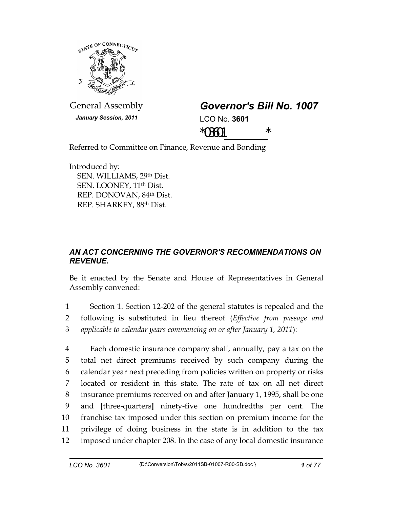

General Assembly *Governor's Bill No. 1007* 

*January Session, 2011* LCO No. **3601**

 $*03601$  \*

Referred to Committee on Finance, Revenue and Bonding

Introduced by: SEN. WILLIAMS, 29th Dist. SEN. LOONEY, 11th Dist. REP. DONOVAN, 84th Dist. REP. SHARKEY, 88th Dist.

## *AN ACT CONCERNING THE GOVERNOR'S RECOMMENDATIONS ON REVENUE.*

Be it enacted by the Senate and House of Representatives in General Assembly convened:

1 Section 1. Section 12-202 of the general statutes is repealed and the 2 following is substituted in lieu thereof (*Effective from passage and*  3 *applicable to calendar years commencing on or after January 1, 2011*):

4 Each domestic insurance company shall, annually, pay a tax on the 5 total net direct premiums received by such company during the 6 calendar year next preceding from policies written on property or risks 7 located or resident in this state. The rate of tax on all net direct 8 insurance premiums received on and after January 1, 1995, shall be one 9 and **[**three-quarters**]** ninety-five one hundredths per cent. The 10 franchise tax imposed under this section on premium income for the 11 privilege of doing business in the state is in addition to the tax 12 imposed under chapter 208. In the case of any local domestic insurance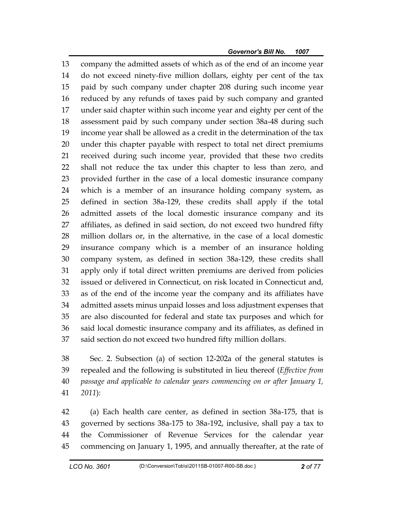13 company the admitted assets of which as of the end of an income year 14 do not exceed ninety-five million dollars, eighty per cent of the tax 15 paid by such company under chapter 208 during such income year 16 reduced by any refunds of taxes paid by such company and granted 17 under said chapter within such income year and eighty per cent of the 18 assessment paid by such company under section 38a-48 during such 19 income year shall be allowed as a credit in the determination of the tax 20 under this chapter payable with respect to total net direct premiums 21 received during such income year, provided that these two credits 22 shall not reduce the tax under this chapter to less than zero, and 23 provided further in the case of a local domestic insurance company 24 which is a member of an insurance holding company system, as 25 defined in section 38a-129, these credits shall apply if the total 26 admitted assets of the local domestic insurance company and its 27 affiliates, as defined in said section, do not exceed two hundred fifty 28 million dollars or, in the alternative, in the case of a local domestic 29 insurance company which is a member of an insurance holding 30 company system, as defined in section 38a-129, these credits shall 31 apply only if total direct written premiums are derived from policies 32 issued or delivered in Connecticut, on risk located in Connecticut and, 33 as of the end of the income year the company and its affiliates have 34 admitted assets minus unpaid losses and loss adjustment expenses that 35 are also discounted for federal and state tax purposes and which for 36 said local domestic insurance company and its affiliates, as defined in 37 said section do not exceed two hundred fifty million dollars.

38 Sec. 2. Subsection (a) of section 12-202a of the general statutes is 39 repealed and the following is substituted in lieu thereof (*Effective from*  40 *passage and applicable to calendar years commencing on or after January 1,*  41 *2011*):

42 (a) Each health care center, as defined in section 38a-175, that is 43 governed by sections 38a-175 to 38a-192, inclusive, shall pay a tax to 44 the Commissioner of Revenue Services for the calendar year 45 commencing on January 1, 1995, and annually thereafter, at the rate of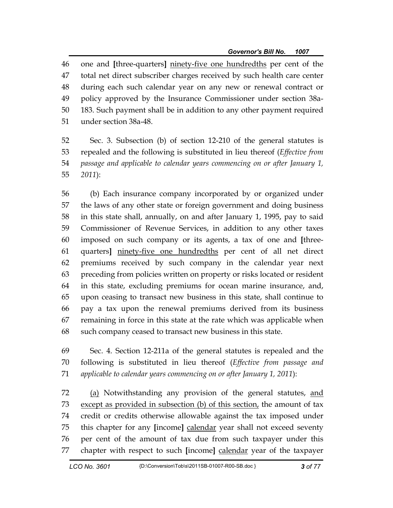46 one and **[**three-quarters**]** ninety-five one hundredths per cent of the 47 total net direct subscriber charges received by such health care center 48 during each such calendar year on any new or renewal contract or 49 policy approved by the Insurance Commissioner under section 38a-50 183. Such payment shall be in addition to any other payment required 51 under section 38a-48.

52 Sec. 3. Subsection (b) of section 12-210 of the general statutes is 53 repealed and the following is substituted in lieu thereof (*Effective from*  54 *passage and applicable to calendar years commencing on or after January 1,*  55 *2011*):

56 (b) Each insurance company incorporated by or organized under 57 the laws of any other state or foreign government and doing business 58 in this state shall, annually, on and after January 1, 1995, pay to said 59 Commissioner of Revenue Services, in addition to any other taxes 60 imposed on such company or its agents, a tax of one and **[**three-61 quarters**]** ninety-five one hundredths per cent of all net direct 62 premiums received by such company in the calendar year next 63 preceding from policies written on property or risks located or resident 64 in this state, excluding premiums for ocean marine insurance, and, 65 upon ceasing to transact new business in this state, shall continue to 66 pay a tax upon the renewal premiums derived from its business 67 remaining in force in this state at the rate which was applicable when 68 such company ceased to transact new business in this state.

69 Sec. 4. Section 12-211a of the general statutes is repealed and the 70 following is substituted in lieu thereof (*Effective from passage and*  71 *applicable to calendar years commencing on or after January 1, 2011*):

72 (a) Notwithstanding any provision of the general statutes, and 73 except as provided in subsection (b) of this section, the amount of tax 74 credit or credits otherwise allowable against the tax imposed under 75 this chapter for any **[**income**]** calendar year shall not exceed seventy 76 per cent of the amount of tax due from such taxpayer under this 77 chapter with respect to such **[**income**]** calendar year of the taxpayer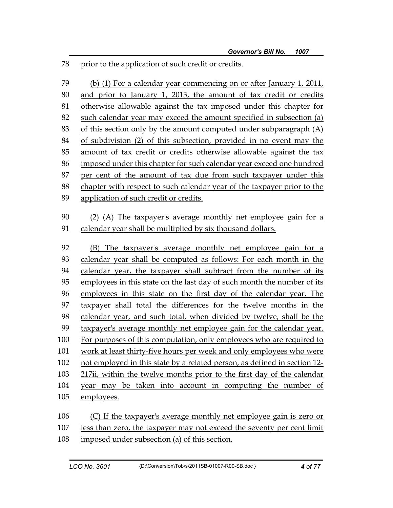78 prior to the application of such credit or credits.

79 (b) (1) For a calendar year commencing on or after January 1, 2011, 80 and prior to January 1, 2013, the amount of tax credit or credits 81 otherwise allowable against the tax imposed under this chapter for 82 such calendar year may exceed the amount specified in subsection (a) 83 of this section only by the amount computed under subparagraph (A) 84 of subdivision (2) of this subsection, provided in no event may the 85 amount of tax credit or credits otherwise allowable against the tax 86 imposed under this chapter for such calendar year exceed one hundred 87 per cent of the amount of tax due from such taxpayer under this 88 chapter with respect to such calendar year of the taxpayer prior to the 89 application of such credit or credits. 90 (2) (A) The taxpayer's average monthly net employee gain for a 91 calendar year shall be multiplied by six thousand dollars. 92 (B) The taxpayer's average monthly net employee gain for a 93 calendar year shall be computed as follows: For each month in the 94 calendar year, the taxpayer shall subtract from the number of its 95 employees in this state on the last day of such month the number of its 96 employees in this state on the first day of the calendar year. The 97 taxpayer shall total the differences for the twelve months in the 98 calendar year, and such total, when divided by twelve, shall be the 99 taxpayer's average monthly net employee gain for the calendar year. 100 For purposes of this computation, only employees who are required to 101 work at least thirty-five hours per week and only employees who were 102 not employed in this state by a related person, as defined in section 12- 103 217ii, within the twelve months prior to the first day of the calendar 104 year may be taken into account in computing the number of 105 employees. 106 (C) If the taxpayer's average monthly net employee gain is zero or

107 less than zero, the taxpayer may not exceed the seventy per cent limit

108 imposed under subsection (a) of this section.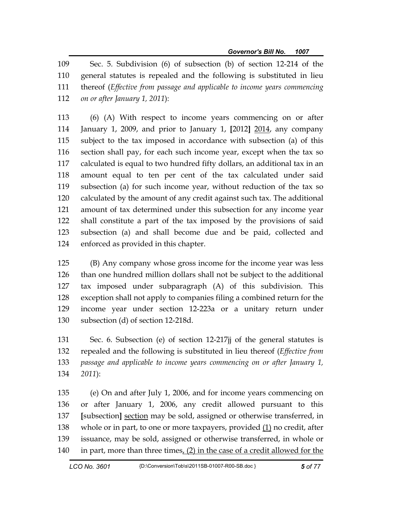109 Sec. 5. Subdivision (6) of subsection (b) of section 12-214 of the 110 general statutes is repealed and the following is substituted in lieu 111 thereof (*Effective from passage and applicable to income years commencing*  112 *on or after January 1, 2011*):

113 (6) (A) With respect to income years commencing on or after 114 January 1, 2009, and prior to January 1, **[**2012**]** 2014, any company 115 subject to the tax imposed in accordance with subsection (a) of this 116 section shall pay, for each such income year, except when the tax so 117 calculated is equal to two hundred fifty dollars, an additional tax in an 118 amount equal to ten per cent of the tax calculated under said 119 subsection (a) for such income year, without reduction of the tax so 120 calculated by the amount of any credit against such tax. The additional 121 amount of tax determined under this subsection for any income year 122 shall constitute a part of the tax imposed by the provisions of said 123 subsection (a) and shall become due and be paid, collected and 124 enforced as provided in this chapter.

125 (B) Any company whose gross income for the income year was less 126 than one hundred million dollars shall not be subject to the additional 127 tax imposed under subparagraph (A) of this subdivision. This 128 exception shall not apply to companies filing a combined return for the 129 income year under section 12-223a or a unitary return under 130 subsection (d) of section 12-218d.

131 Sec. 6. Subsection (e) of section 12-217jj of the general statutes is 132 repealed and the following is substituted in lieu thereof (*Effective from*  133 *passage and applicable to income years commencing on or after January 1,*  134 *2011*):

135 (e) On and after July 1, 2006, and for income years commencing on 136 or after January 1, 2006, any credit allowed pursuant to this 137 **[**subsection**]** section may be sold, assigned or otherwise transferred, in 138 whole or in part, to one or more taxpayers, provided (1) no credit, after 139 issuance, may be sold, assigned or otherwise transferred, in whole or 140 in part, more than three times, (2) in the case of a credit allowed for the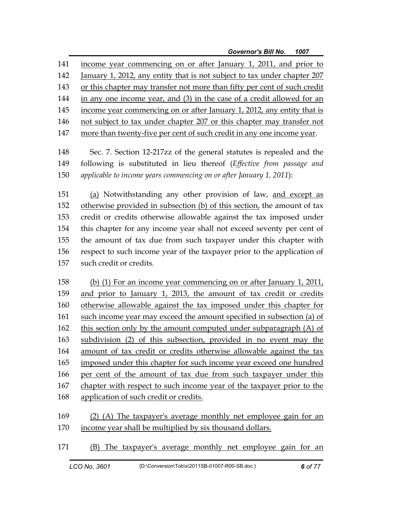141 income year commencing on or after January 1, 2011, and prior to 142 January 1, 2012, any entity that is not subject to tax under chapter 207 143 or this chapter may transfer not more than fifty per cent of such credit 144 in any one income year, and (3) in the case of a credit allowed for an 145 income year commencing on or after January 1, 2012, any entity that is 146 not subject to tax under chapter 207 or this chapter may transfer not 147 more than twenty-five per cent of such credit in any one income year.

148 Sec. 7. Section 12-217zz of the general statutes is repealed and the 149 following is substituted in lieu thereof (*Effective from passage and*  150 *applicable to income years commencing on or after January 1, 2011*):

151 (a) Notwithstanding any other provision of law, and except as 152 otherwise provided in subsection (b) of this section, the amount of tax 153 credit or credits otherwise allowable against the tax imposed under 154 this chapter for any income year shall not exceed seventy per cent of 155 the amount of tax due from such taxpayer under this chapter with 156 respect to such income year of the taxpayer prior to the application of 157 such credit or credits.

158 (b) (1) For an income year commencing on or after January 1, 2011, 159 and prior to January 1, 2013, the amount of tax credit or credits 160 otherwise allowable against the tax imposed under this chapter for 161 such income year may exceed the amount specified in subsection (a) of 162 this section only by the amount computed under subparagraph (A) of 163 subdivision (2) of this subsection, provided in no event may the 164 amount of tax credit or credits otherwise allowable against the tax 165 imposed under this chapter for such income year exceed one hundred 166 per cent of the amount of tax due from such taxpayer under this 167 chapter with respect to such income year of the taxpayer prior to the 168 application of such credit or credits.

169 (2) (A) The taxpayer's average monthly net employee gain for an 170 income year shall be multiplied by six thousand dollars.

171 (B) The taxpayer's average monthly net employee gain for an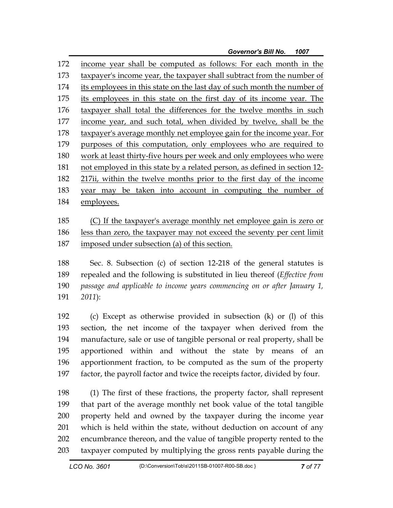172 income year shall be computed as follows: For each month in the 173 taxpayer's income year, the taxpayer shall subtract from the number of 174 its employees in this state on the last day of such month the number of 175 its employees in this state on the first day of its income year. The 176 taxpayer shall total the differences for the twelve months in such 177 income year, and such total, when divided by twelve, shall be the 178 taxpayer's average monthly net employee gain for the income year. For 179 purposes of this computation, only employees who are required to 180 work at least thirty-five hours per week and only employees who were 181 not employed in this state by a related person, as defined in section 12- 182 217ii, within the twelve months prior to the first day of the income 183 year may be taken into account in computing the number of 184 employees.

185 (C) If the taxpayer's average monthly net employee gain is zero or 186 less than zero, the taxpayer may not exceed the seventy per cent limit 187 imposed under subsection (a) of this section.

188 Sec. 8. Subsection (c) of section 12-218 of the general statutes is 189 repealed and the following is substituted in lieu thereof (*Effective from*  190 *passage and applicable to income years commencing on or after January 1,*  191 *2011*):

192 (c) Except as otherwise provided in subsection (k) or (l) of this 193 section, the net income of the taxpayer when derived from the 194 manufacture, sale or use of tangible personal or real property, shall be 195 apportioned within and without the state by means of an 196 apportionment fraction, to be computed as the sum of the property 197 factor, the payroll factor and twice the receipts factor, divided by four.

198 (1) The first of these fractions, the property factor, shall represent 199 that part of the average monthly net book value of the total tangible 200 property held and owned by the taxpayer during the income year 201 which is held within the state, without deduction on account of any 202 encumbrance thereon, and the value of tangible property rented to the 203 taxpayer computed by multiplying the gross rents payable during the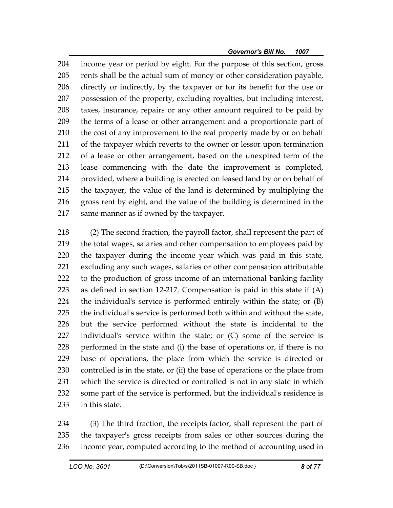204 income year or period by eight. For the purpose of this section, gross 205 rents shall be the actual sum of money or other consideration payable, 206 directly or indirectly, by the taxpayer or for its benefit for the use or 207 possession of the property, excluding royalties, but including interest, 208 taxes, insurance, repairs or any other amount required to be paid by 209 the terms of a lease or other arrangement and a proportionate part of 210 the cost of any improvement to the real property made by or on behalf 211 of the taxpayer which reverts to the owner or lessor upon termination 212 of a lease or other arrangement, based on the unexpired term of the 213 lease commencing with the date the improvement is completed, 214 provided, where a building is erected on leased land by or on behalf of 215 the taxpayer, the value of the land is determined by multiplying the 216 gross rent by eight, and the value of the building is determined in the 217 same manner as if owned by the taxpayer.

218 (2) The second fraction, the payroll factor, shall represent the part of 219 the total wages, salaries and other compensation to employees paid by 220 the taxpayer during the income year which was paid in this state, 221 excluding any such wages, salaries or other compensation attributable 222 to the production of gross income of an international banking facility 223 as defined in section 12-217. Compensation is paid in this state if (A) 224 the individual's service is performed entirely within the state; or (B) 225 the individual's service is performed both within and without the state, 226 but the service performed without the state is incidental to the 227 individual's service within the state; or (C) some of the service is 228 performed in the state and (i) the base of operations or, if there is no 229 base of operations, the place from which the service is directed or 230 controlled is in the state, or (ii) the base of operations or the place from 231 which the service is directed or controlled is not in any state in which 232 some part of the service is performed, but the individual's residence is 233 in this state.

234 (3) The third fraction, the receipts factor, shall represent the part of 235 the taxpayer's gross receipts from sales or other sources during the 236 income year, computed according to the method of accounting used in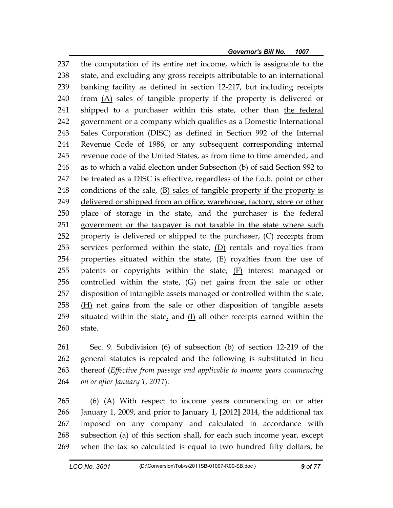237 the computation of its entire net income, which is assignable to the 238 state, and excluding any gross receipts attributable to an international 239 banking facility as defined in section 12-217, but including receipts 240 from (A) sales of tangible property if the property is delivered or 241 shipped to a purchaser within this state, other than the federal 242 government or a company which qualifies as a Domestic International 243 Sales Corporation (DISC) as defined in Section 992 of the Internal 244 Revenue Code of 1986, or any subsequent corresponding internal 245 revenue code of the United States, as from time to time amended, and 246 as to which a valid election under Subsection (b) of said Section 992 to 247 be treated as a DISC is effective, regardless of the f.o.b. point or other 248 conditions of the sale, (B) sales of tangible property if the property is 249 delivered or shipped from an office, warehouse, factory, store or other 250 place of storage in the state, and the purchaser is the federal 251 government or the taxpayer is not taxable in the state where such 252 property is delivered or shipped to the purchaser, (C) receipts from 253 services performed within the state, (D) rentals and royalties from 254 properties situated within the state, (E) royalties from the use of 255 patents or copyrights within the state, (F) interest managed or 256 controlled within the state, (G) net gains from the sale or other 257 disposition of intangible assets managed or controlled within the state, 258 (H) net gains from the sale or other disposition of tangible assets 259 situated within the state, and  $(I)$  all other receipts earned within the 260 state.

261 Sec. 9. Subdivision (6) of subsection (b) of section 12-219 of the 262 general statutes is repealed and the following is substituted in lieu 263 thereof (*Effective from passage and applicable to income years commencing*  264 *on or after January 1, 2011*):

265 (6) (A) With respect to income years commencing on or after 266 January 1, 2009, and prior to January 1, **[**2012**]** 2014, the additional tax 267 imposed on any company and calculated in accordance with 268 subsection (a) of this section shall, for each such income year, except 269 when the tax so calculated is equal to two hundred fifty dollars, be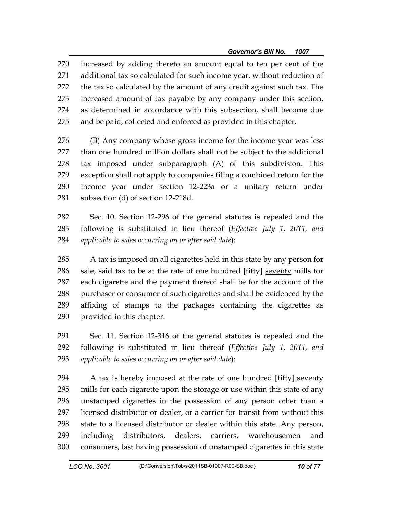270 increased by adding thereto an amount equal to ten per cent of the 271 additional tax so calculated for such income year, without reduction of 272 the tax so calculated by the amount of any credit against such tax. The 273 increased amount of tax payable by any company under this section, 274 as determined in accordance with this subsection, shall become due 275 and be paid, collected and enforced as provided in this chapter.

276 (B) Any company whose gross income for the income year was less 277 than one hundred million dollars shall not be subject to the additional 278 tax imposed under subparagraph (A) of this subdivision. This 279 exception shall not apply to companies filing a combined return for the 280 income year under section 12-223a or a unitary return under 281 subsection (d) of section 12-218d.

282 Sec. 10. Section 12-296 of the general statutes is repealed and the 283 following is substituted in lieu thereof (*Effective July 1, 2011, and*  284 *applicable to sales occurring on or after said date*):

285 A tax is imposed on all cigarettes held in this state by any person for 286 sale, said tax to be at the rate of one hundred **[**fifty**]** seventy mills for 287 each cigarette and the payment thereof shall be for the account of the 288 purchaser or consumer of such cigarettes and shall be evidenced by the 289 affixing of stamps to the packages containing the cigarettes as 290 provided in this chapter.

291 Sec. 11. Section 12-316 of the general statutes is repealed and the 292 following is substituted in lieu thereof (*Effective July 1, 2011, and*  293 *applicable to sales occurring on or after said date*):

294 A tax is hereby imposed at the rate of one hundred **[**fifty**]** seventy 295 mills for each cigarette upon the storage or use within this state of any 296 unstamped cigarettes in the possession of any person other than a 297 licensed distributor or dealer, or a carrier for transit from without this 298 state to a licensed distributor or dealer within this state. Any person, 299 including distributors, dealers, carriers, warehousemen and 300 consumers, last having possession of unstamped cigarettes in this state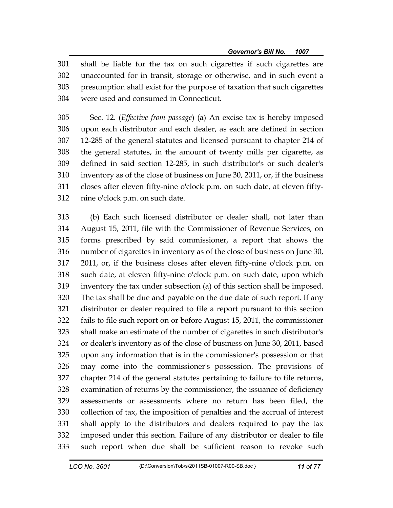301 shall be liable for the tax on such cigarettes if such cigarettes are 302 unaccounted for in transit, storage or otherwise, and in such event a 303 presumption shall exist for the purpose of taxation that such cigarettes 304 were used and consumed in Connecticut.

305 Sec. 12. (*Effective from passage*) (a) An excise tax is hereby imposed 306 upon each distributor and each dealer, as each are defined in section 307 12-285 of the general statutes and licensed pursuant to chapter 214 of 308 the general statutes, in the amount of twenty mills per cigarette, as 309 defined in said section 12-285, in such distributor's or such dealer's 310 inventory as of the close of business on June 30, 2011, or, if the business 311 closes after eleven fifty-nine o'clock p.m. on such date, at eleven fifty-312 nine o'clock p.m. on such date.

313 (b) Each such licensed distributor or dealer shall, not later than 314 August 15, 2011, file with the Commissioner of Revenue Services, on 315 forms prescribed by said commissioner, a report that shows the 316 number of cigarettes in inventory as of the close of business on June 30, 317 2011, or, if the business closes after eleven fifty-nine o'clock p.m. on 318 such date, at eleven fifty-nine o'clock p.m. on such date, upon which 319 inventory the tax under subsection (a) of this section shall be imposed. 320 The tax shall be due and payable on the due date of such report. If any 321 distributor or dealer required to file a report pursuant to this section 322 fails to file such report on or before August 15, 2011, the commissioner 323 shall make an estimate of the number of cigarettes in such distributor's 324 or dealer's inventory as of the close of business on June 30, 2011, based 325 upon any information that is in the commissioner's possession or that 326 may come into the commissioner's possession. The provisions of 327 chapter 214 of the general statutes pertaining to failure to file returns, 328 examination of returns by the commissioner, the issuance of deficiency 329 assessments or assessments where no return has been filed, the 330 collection of tax, the imposition of penalties and the accrual of interest 331 shall apply to the distributors and dealers required to pay the tax 332 imposed under this section. Failure of any distributor or dealer to file 333 such report when due shall be sufficient reason to revoke such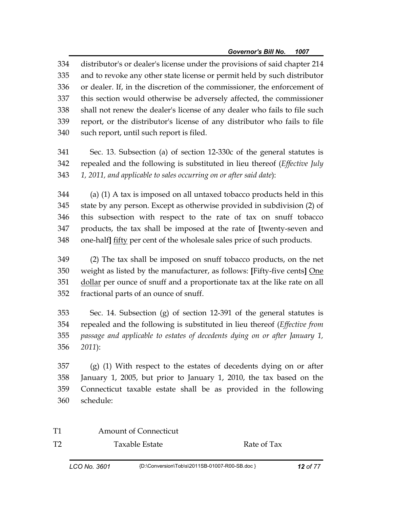334 distributor's or dealer's license under the provisions of said chapter 214 335 and to revoke any other state license or permit held by such distributor 336 or dealer. If, in the discretion of the commissioner, the enforcement of 337 this section would otherwise be adversely affected, the commissioner 338 shall not renew the dealer's license of any dealer who fails to file such 339 report, or the distributor's license of any distributor who fails to file 340 such report, until such report is filed.

341 Sec. 13. Subsection (a) of section 12-330c of the general statutes is 342 repealed and the following is substituted in lieu thereof (*Effective July*  343 *1, 2011, and applicable to sales occurring on or after said date*):

344 (a) (1) A tax is imposed on all untaxed tobacco products held in this 345 state by any person. Except as otherwise provided in subdivision (2) of 346 this subsection with respect to the rate of tax on snuff tobacco 347 products, the tax shall be imposed at the rate of **[**twenty-seven and 348 one-half**]** fifty per cent of the wholesale sales price of such products.

349 (2) The tax shall be imposed on snuff tobacco products, on the net 350 weight as listed by the manufacturer, as follows: **[**Fifty-five cents**]** One 351 dollar per ounce of snuff and a proportionate tax at the like rate on all 352 fractional parts of an ounce of snuff.

353 Sec. 14. Subsection (g) of section 12-391 of the general statutes is 354 repealed and the following is substituted in lieu thereof (*Effective from*  355 *passage and applicable to estates of decedents dying on or after January 1,*  356 *2011*):

357 (g) (1) With respect to the estates of decedents dying on or after 358 January 1, 2005, but prior to January 1, 2010, the tax based on the 359 Connecticut taxable estate shall be as provided in the following 360 schedule:

T1 Amount of Connecticut

T2 Taxable Estate Rate of Tax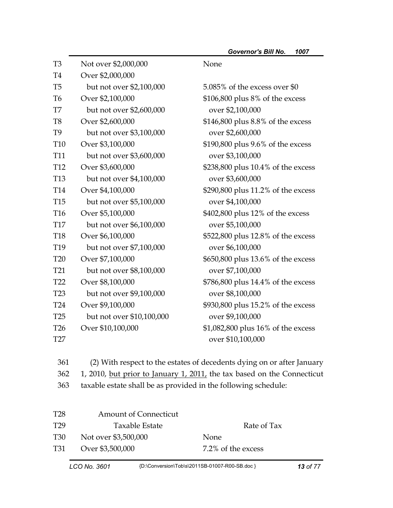| T <sub>3</sub>  | Not over \$2,000,000      | None                               |
|-----------------|---------------------------|------------------------------------|
| T <sub>4</sub>  | Over \$2,000,000          |                                    |
| T <sub>5</sub>  | but not over \$2,100,000  | 5.085% of the excess over \$0      |
| T <sub>6</sub>  | Over \$2,100,000          | \$106,800 plus 8% of the excess    |
| T7              | but not over \$2,600,000  | over \$2,100,000                   |
| T <sub>8</sub>  | Over \$2,600,000          | \$146,800 plus 8.8% of the excess  |
| T <sub>9</sub>  | but not over \$3,100,000  | over \$2,600,000                   |
| <b>T10</b>      | Over \$3,100,000          | \$190,800 plus 9.6% of the excess  |
| <b>T11</b>      | but not over \$3,600,000  | over \$3,100,000                   |
| T <sub>12</sub> | Over \$3,600,000          | \$238,800 plus 10.4% of the excess |
| T <sub>13</sub> | but not over \$4,100,000  | over \$3,600,000                   |
| T <sub>14</sub> | Over \$4,100,000          | \$290,800 plus 11.2% of the excess |
| <b>T15</b>      | but not over \$5,100,000  | over \$4,100,000                   |
| T16             | Over \$5,100,000          | \$402,800 plus 12% of the excess   |
| <b>T17</b>      | but not over \$6,100,000  | over \$5,100,000                   |
| <b>T18</b>      | Over \$6,100,000          | \$522,800 plus 12.8% of the excess |
| T <sub>19</sub> | but not over \$7,100,000  | over \$6,100,000                   |
| <b>T20</b>      | Over \$7,100,000          | \$650,800 plus 13.6% of the excess |
| T <sub>21</sub> | but not over \$8,100,000  | over \$7,100,000                   |
| T <sub>22</sub> | Over \$8,100,000          | \$786,800 plus 14.4% of the excess |
| T <sub>23</sub> | but not over \$9,100,000  | over \$8,100,000                   |
| T <sub>24</sub> | Over \$9,100,000          | \$930,800 plus 15.2% of the excess |
| T <sub>25</sub> | but not over \$10,100,000 | over \$9,100,000                   |
| T <sub>26</sub> | Over \$10,100,000         | \$1,082,800 plus 16% of the excess |
| T27             |                           | over \$10,100,000                  |

361 (2) With respect to the estates of decedents dying on or after January

362 1, 2010, but prior to January 1, 2011, the tax based on the Connecticut

363 taxable estate shall be as provided in the following schedule:

| T <sub>28</sub> | <b>Amount of Connecticut</b> |                    |
|-----------------|------------------------------|--------------------|
| T <sub>29</sub> | Taxable Estate               | Rate of Tax        |
| T30             | Not over \$3,500,000         | <b>None</b>        |
| T31             | Over \$3,500,000             | 7.2% of the excess |
|                 |                              |                    |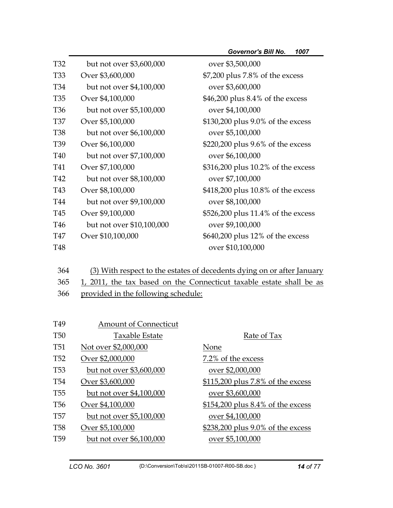| but not over \$3,600,000  | over \$3,500,000                     |
|---------------------------|--------------------------------------|
| Over \$3,600,000          | \$7,200 plus 7.8% of the excess      |
| but not over \$4,100,000  | over \$3,600,000                     |
| Over \$4,100,000          | $$46,200$ plus $8.4\%$ of the excess |
| but not over \$5,100,000  | over \$4,100,000                     |
| Over \$5,100,000          | \$130,200 plus 9.0% of the excess    |
| but not over \$6,100,000  | over \$5,100,000                     |
| Over \$6,100,000          | \$220,200 plus 9.6% of the excess    |
| but not over \$7,100,000  | over \$6,100,000                     |
| Over \$7,100,000          | \$316,200 plus 10.2% of the excess   |
| but not over \$8,100,000  | over \$7,100,000                     |
| Over \$8,100,000          | \$418,200 plus 10.8% of the excess   |
| but not over \$9,100,000  | over \$8,100,000                     |
| Over \$9,100,000          | \$526,200 plus 11.4% of the excess   |
| but not over \$10,100,000 | over \$9,100,000                     |
| Over \$10,100,000         | \$640,200 plus 12% of the excess     |
|                           | over \$10,100,000                    |
|                           |                                      |

- 364 (3) With respect to the estates of decedents dying on or after January 365 1, 2011, the tax based on the Connecticut taxable estate shall be as
- 366 provided in the following schedule:

| T <sub>49</sub> | <b>Amount of Connecticut</b> |                                   |
|-----------------|------------------------------|-----------------------------------|
| <b>T50</b>      | Taxable Estate               | Rate of Tax                       |
| <b>T51</b>      | Not over \$2,000,000         | None                              |
| T <sub>52</sub> | Over \$2,000,000             | 7.2% of the excess                |
| T <sub>53</sub> | but not over \$3,600,000     | over \$2,000,000                  |
| T <sub>54</sub> | Over \$3,600,000             | \$115,200 plus 7.8% of the excess |
| T <sub>55</sub> | but not over \$4,100,000     | over \$3,600,000                  |
| T <sub>56</sub> | Over \$4,100,000             | \$154,200 plus 8.4% of the excess |
| T57             | but not over \$5,100,000     | over \$4,100,000                  |
| <b>T58</b>      | Over \$5,100,000             | \$238,200 plus 9.0% of the excess |
| T <sub>59</sub> | but not over \$6,100,000     | over \$5,100,000                  |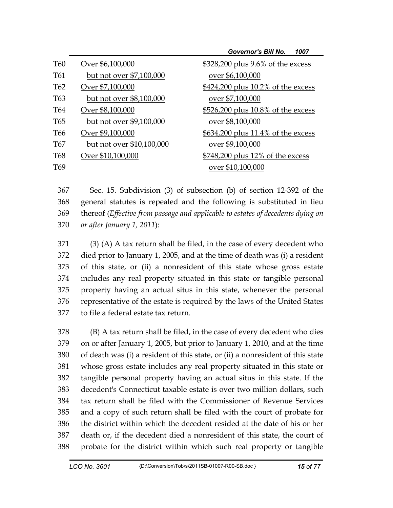|                 |                           | <b>Governor's Bill No.</b><br>1007 |
|-----------------|---------------------------|------------------------------------|
| <b>T60</b>      | Over \$6,100,000          | \$328,200 plus 9.6% of the excess  |
| T61             | but not over \$7,100,000  | over \$6,100,000                   |
| T <sub>62</sub> | Over \$7,100,000          | \$424,200 plus 10.2% of the excess |
| T <sub>63</sub> | but not over \$8,100,000  | over \$7,100,000                   |
| T64             | Over \$8,100,000          | \$526,200 plus 10.8% of the excess |
| T <sub>65</sub> | but not over \$9,100,000  | over \$8,100,000                   |
| T <sub>66</sub> | Over \$9,100,000          | \$634,200 plus 11.4% of the excess |
| T <sub>67</sub> | but not over \$10,100,000 | over \$9,100,000                   |
| T <sub>68</sub> | Over \$10,100,000         | \$748,200 plus 12% of the excess   |
| T <sub>69</sub> |                           | over \$10,100,000                  |

367 Sec. 15. Subdivision (3) of subsection (b) of section 12-392 of the 368 general statutes is repealed and the following is substituted in lieu 369 thereof (*Effective from passage and applicable to estates of decedents dying on*  370 *or after January 1, 2011*):

371 (3) (A) A tax return shall be filed, in the case of every decedent who 372 died prior to January 1, 2005, and at the time of death was (i) a resident 373 of this state, or (ii) a nonresident of this state whose gross estate 374 includes any real property situated in this state or tangible personal 375 property having an actual situs in this state, whenever the personal 376 representative of the estate is required by the laws of the United States 377 to file a federal estate tax return.

378 (B) A tax return shall be filed, in the case of every decedent who dies 379 on or after January 1, 2005, but prior to January 1, 2010, and at the time 380 of death was (i) a resident of this state, or (ii) a nonresident of this state 381 whose gross estate includes any real property situated in this state or 382 tangible personal property having an actual situs in this state. If the 383 decedent's Connecticut taxable estate is over two million dollars, such 384 tax return shall be filed with the Commissioner of Revenue Services 385 and a copy of such return shall be filed with the court of probate for 386 the district within which the decedent resided at the date of his or her 387 death or, if the decedent died a nonresident of this state, the court of 388 probate for the district within which such real property or tangible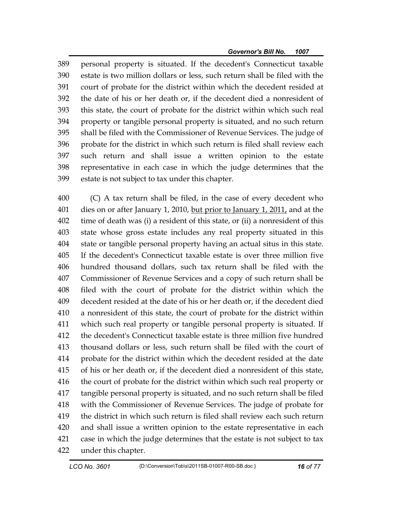389 personal property is situated. If the decedent's Connecticut taxable 390 estate is two million dollars or less, such return shall be filed with the 391 court of probate for the district within which the decedent resided at 392 the date of his or her death or, if the decedent died a nonresident of 393 this state, the court of probate for the district within which such real 394 property or tangible personal property is situated, and no such return 395 shall be filed with the Commissioner of Revenue Services. The judge of 396 probate for the district in which such return is filed shall review each 397 such return and shall issue a written opinion to the estate 398 representative in each case in which the judge determines that the 399 estate is not subject to tax under this chapter.

400 (C) A tax return shall be filed, in the case of every decedent who 401 dies on or after January 1, 2010, but prior to January 1, 2011, and at the 402 time of death was (i) a resident of this state, or (ii) a nonresident of this 403 state whose gross estate includes any real property situated in this 404 state or tangible personal property having an actual situs in this state. 405 If the decedent's Connecticut taxable estate is over three million five 406 hundred thousand dollars, such tax return shall be filed with the 407 Commissioner of Revenue Services and a copy of such return shall be 408 filed with the court of probate for the district within which the 409 decedent resided at the date of his or her death or, if the decedent died 410 a nonresident of this state, the court of probate for the district within 411 which such real property or tangible personal property is situated. If 412 the decedent's Connecticut taxable estate is three million five hundred 413 thousand dollars or less, such return shall be filed with the court of 414 probate for the district within which the decedent resided at the date 415 of his or her death or, if the decedent died a nonresident of this state, 416 the court of probate for the district within which such real property or 417 tangible personal property is situated, and no such return shall be filed 418 with the Commissioner of Revenue Services. The judge of probate for 419 the district in which such return is filed shall review each such return 420 and shall issue a written opinion to the estate representative in each 421 case in which the judge determines that the estate is not subject to tax 422 under this chapter.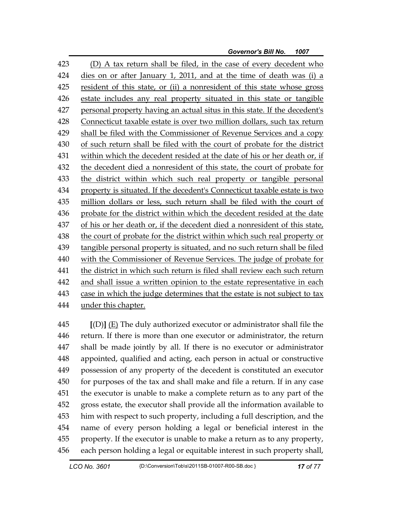| 423 | (D) A tax return shall be filed, in the case of every decedent who        |
|-----|---------------------------------------------------------------------------|
| 424 | dies on or after January 1, 2011, and at the time of death was (i) a      |
| 425 | resident of this state, or (ii) a nonresident of this state whose gross   |
| 426 | estate includes any real property situated in this state or tangible      |
| 427 | personal property having an actual situs in this state. If the decedent's |
| 428 | Connecticut taxable estate is over two million dollars, such tax return   |
| 429 | shall be filed with the Commissioner of Revenue Services and a copy       |
| 430 | of such return shall be filed with the court of probate for the district  |
| 431 | within which the decedent resided at the date of his or her death or, if  |
| 432 | the decedent died a nonresident of this state, the court of probate for   |
| 433 | the district within which such real property or tangible personal         |
| 434 | property is situated. If the decedent's Connecticut taxable estate is two |
| 435 | million dollars or less, such return shall be filed with the court of     |
| 436 | probate for the district within which the decedent resided at the date    |
| 437 | of his or her death or, if the decedent died a nonresident of this state, |
| 438 | the court of probate for the district within which such real property or  |
| 439 | tangible personal property is situated, and no such return shall be filed |
| 440 | with the Commissioner of Revenue Services. The judge of probate for       |
| 441 | the district in which such return is filed shall review each such return  |
| 442 | and shall issue a written opinion to the estate representative in each    |
| 443 | case in which the judge determines that the estate is not subject to tax  |
| 444 | under this chapter.                                                       |

445 **[**(D)**]** (E) The duly authorized executor or administrator shall file the 446 return. If there is more than one executor or administrator, the return 447 shall be made jointly by all. If there is no executor or administrator 448 appointed, qualified and acting, each person in actual or constructive 449 possession of any property of the decedent is constituted an executor 450 for purposes of the tax and shall make and file a return. If in any case 451 the executor is unable to make a complete return as to any part of the 452 gross estate, the executor shall provide all the information available to 453 him with respect to such property, including a full description, and the 454 name of every person holding a legal or beneficial interest in the 455 property. If the executor is unable to make a return as to any property, 456 each person holding a legal or equitable interest in such property shall,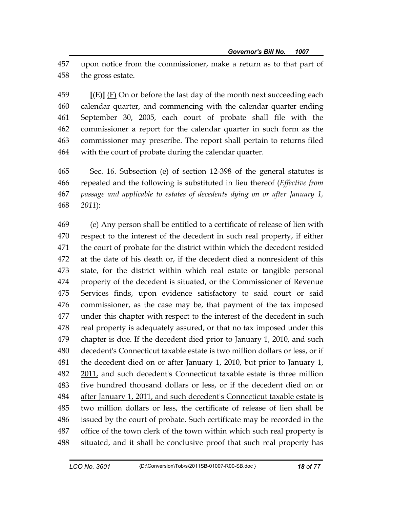457 upon notice from the commissioner, make a return as to that part of 458 the gross estate.

459 **[**(E)**]** (F) On or before the last day of the month next succeeding each 460 calendar quarter, and commencing with the calendar quarter ending 461 September 30, 2005, each court of probate shall file with the 462 commissioner a report for the calendar quarter in such form as the 463 commissioner may prescribe. The report shall pertain to returns filed 464 with the court of probate during the calendar quarter.

465 Sec. 16. Subsection (e) of section 12-398 of the general statutes is 466 repealed and the following is substituted in lieu thereof (*Effective from*  467 *passage and applicable to estates of decedents dying on or after January 1,*  468 *2011*):

469 (e) Any person shall be entitled to a certificate of release of lien with 470 respect to the interest of the decedent in such real property, if either 471 the court of probate for the district within which the decedent resided 472 at the date of his death or, if the decedent died a nonresident of this 473 state, for the district within which real estate or tangible personal 474 property of the decedent is situated, or the Commissioner of Revenue 475 Services finds, upon evidence satisfactory to said court or said 476 commissioner, as the case may be, that payment of the tax imposed 477 under this chapter with respect to the interest of the decedent in such 478 real property is adequately assured, or that no tax imposed under this 479 chapter is due. If the decedent died prior to January 1, 2010, and such 480 decedent's Connecticut taxable estate is two million dollars or less, or if 481 the decedent died on or after January 1, 2010, but prior to January  $1<sub>l</sub>$ 482 2011, and such decedent's Connecticut taxable estate is three million 483 five hundred thousand dollars or less, or if the decedent died on or 484 after January 1, 2011, and such decedent's Connecticut taxable estate is 485 two million dollars or less, the certificate of release of lien shall be 486 issued by the court of probate. Such certificate may be recorded in the 487 office of the town clerk of the town within which such real property is 488 situated, and it shall be conclusive proof that such real property has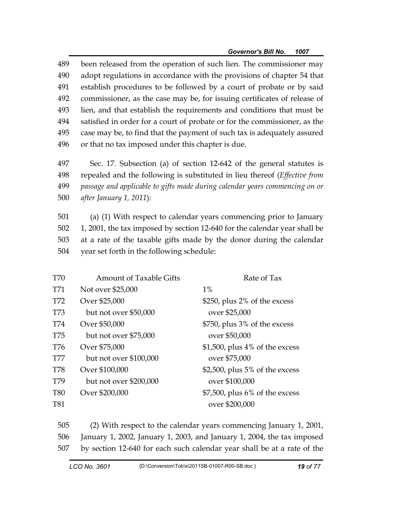489 been released from the operation of such lien. The commissioner may 490 adopt regulations in accordance with the provisions of chapter 54 that 491 establish procedures to be followed by a court of probate or by said 492 commissioner, as the case may be, for issuing certificates of release of 493 lien, and that establish the requirements and conditions that must be 494 satisfied in order for a court of probate or for the commissioner, as the 495 case may be, to find that the payment of such tax is adequately assured 496 or that no tax imposed under this chapter is due.

497 Sec. 17. Subsection (a) of section 12-642 of the general statutes is 498 repealed and the following is substituted in lieu thereof (*Effective from*  499 *passage and applicable to gifts made during calendar years commencing on or*  500 *after January 1, 2011*):

501 (a) (1) With respect to calendar years commencing prior to January 502 1, 2001, the tax imposed by section 12-640 for the calendar year shall be 503 at a rate of the taxable gifts made by the donor during the calendar 504 year set forth in the following schedule:

| T70        | <b>Amount of Taxable Gifts</b> | Rate of Tax                       |
|------------|--------------------------------|-----------------------------------|
| T71        | Not over \$25,000              | $1\%$                             |
| T72        | Over \$25,000                  | \$250, plus 2% of the excess      |
| T73        | but not over \$50,000          | over \$25,000                     |
| T74        | Over \$50,000                  | \$750, plus 3% of the excess      |
| T75        | but not over \$75,000          | over \$50,000                     |
| T76        | Over \$75,000                  | \$1,500, plus 4% of the excess    |
| T77        | but not over \$100,000         | over \$75,000                     |
| <b>T78</b> | Over \$100,000                 | \$2,500, plus $5\%$ of the excess |
| T79        | but not over \$200,000         | over \$100,000                    |
| <b>T80</b> | Over \$200,000                 | $$7,500$ , plus 6% of the excess  |
| <b>T81</b> |                                | over \$200,000                    |

505 (2) With respect to the calendar years commencing January 1, 2001, 506 January 1, 2002, January 1, 2003, and January 1, 2004, the tax imposed 507 by section 12-640 for each such calendar year shall be at a rate of the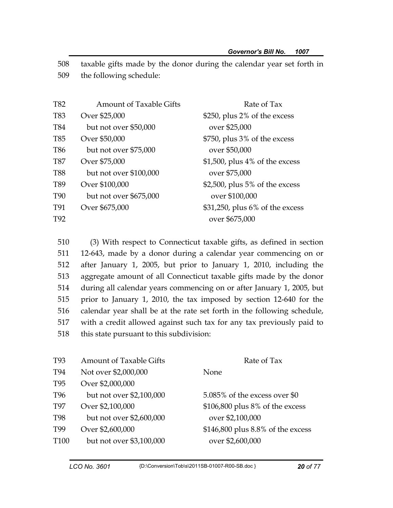508 taxable gifts made by the donor during the calendar year set forth in 509 the following schedule:

| T82             | <b>Amount of Taxable Gifts</b> | Rate of Tax                       |
|-----------------|--------------------------------|-----------------------------------|
| T83             | Over \$25,000                  | \$250, plus 2% of the excess      |
| <b>T84</b>      | but not over \$50,000          | over \$25,000                     |
| T85             | Over \$50,000                  | \$750, plus 3% of the excess      |
| <b>T86</b>      | but not over \$75,000          | over \$50,000                     |
| <b>T87</b>      | Over \$75,000                  | $$1,500$ , plus 4% of the excess  |
| <b>T88</b>      | but not over \$100,000         | over \$75,000                     |
| T89             | Over \$100,000                 | \$2,500, plus $5\%$ of the excess |
| T <sub>90</sub> | but not over \$675,000         | over \$100,000                    |
| T91             | Over \$675,000                 | \$31,250, plus 6% of the excess   |
| T <sub>92</sub> |                                | over \$675,000                    |
|                 |                                |                                   |

510 (3) With respect to Connecticut taxable gifts, as defined in section 511 12-643, made by a donor during a calendar year commencing on or 512 after January 1, 2005, but prior to January 1, 2010, including the 513 aggregate amount of all Connecticut taxable gifts made by the donor 514 during all calendar years commencing on or after January 1, 2005, but 515 prior to January 1, 2010, the tax imposed by section 12-640 for the 516 calendar year shall be at the rate set forth in the following schedule, 517 with a credit allowed against such tax for any tax previously paid to 518 this state pursuant to this subdivision:

| T <sub>93</sub>  | <b>Amount of Taxable Gifts</b> | Rate of Tax                       |
|------------------|--------------------------------|-----------------------------------|
| T94              | Not over \$2,000,000           | None                              |
| T <sub>95</sub>  | Over \$2,000,000               |                                   |
| T <sub>96</sub>  | but not over \$2,100,000       | 5.085% of the excess over \$0     |
| T <sub>97</sub>  | Over \$2,100,000               | \$106,800 plus 8% of the excess   |
| T <sub>98</sub>  | but not over \$2,600,000       | over \$2,100,000                  |
| T <sub>99</sub>  | Over \$2,600,000               | \$146,800 plus 8.8% of the excess |
| T <sub>100</sub> | but not over \$3,100,000       | over \$2,600,000                  |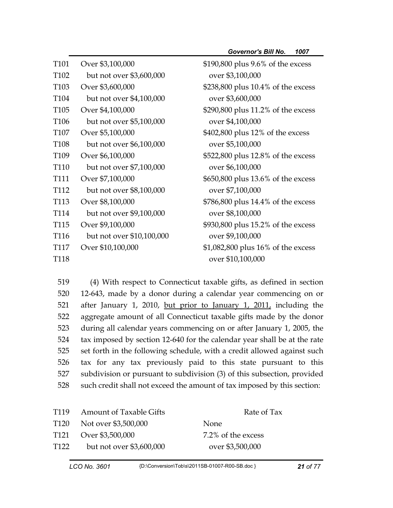| T <sub>101</sub> | Over \$3,100,000          | \$190,800 plus 9.6% of the excess  |
|------------------|---------------------------|------------------------------------|
| T <sub>102</sub> | but not over \$3,600,000  | over \$3,100,000                   |
| T <sub>103</sub> | Over \$3,600,000          | \$238,800 plus 10.4% of the excess |
| T <sub>104</sub> | but not over \$4,100,000  | over \$3,600,000                   |
| T <sub>105</sub> | Over \$4,100,000          | \$290,800 plus 11.2% of the excess |
| T <sub>106</sub> | but not over \$5,100,000  | over \$4,100,000                   |
| T <sub>107</sub> | Over \$5,100,000          | \$402,800 plus 12% of the excess   |
| T <sub>108</sub> | but not over \$6,100,000  | over \$5,100,000                   |
| T <sub>109</sub> | Over \$6,100,000          | \$522,800 plus 12.8% of the excess |
| T <sub>110</sub> | but not over \$7,100,000  | over \$6,100,000                   |
| <b>T111</b>      | Over \$7,100,000          | \$650,800 plus 13.6% of the excess |
| T <sub>112</sub> | but not over \$8,100,000  | over \$7,100,000                   |
| T <sub>113</sub> | Over \$8,100,000          | \$786,800 plus 14.4% of the excess |
| T <sub>114</sub> | but not over \$9,100,000  | over \$8,100,000                   |
| T <sub>115</sub> | Over \$9,100,000          | \$930,800 plus 15.2% of the excess |
| T <sub>116</sub> | but not over \$10,100,000 | over \$9,100,000                   |
| T <sub>117</sub> | Over \$10,100,000         | \$1,082,800 plus 16% of the excess |
| T <sub>118</sub> |                           | over \$10,100,000                  |

519 (4) With respect to Connecticut taxable gifts, as defined in section 520 12-643, made by a donor during a calendar year commencing on or 521 after January 1, 2010, but prior to January 1, 2011, including the 522 aggregate amount of all Connecticut taxable gifts made by the donor 523 during all calendar years commencing on or after January 1, 2005, the 524 tax imposed by section 12-640 for the calendar year shall be at the rate 525 set forth in the following schedule, with a credit allowed against such 526 tax for any tax previously paid to this state pursuant to this 527 subdivision or pursuant to subdivision (3) of this subsection, provided 528 such credit shall not exceed the amount of tax imposed by this section:

| T119             | <b>Amount of Taxable Gifts</b> | Rate of Tax        |
|------------------|--------------------------------|--------------------|
|                  | T120 Not over \$3,500,000      | <b>None</b>        |
|                  | T121 Over \$3,500,000          | 7.2% of the excess |
| T <sub>122</sub> | but not over \$3,600,000       | over \$3,500,000   |
|                  |                                |                    |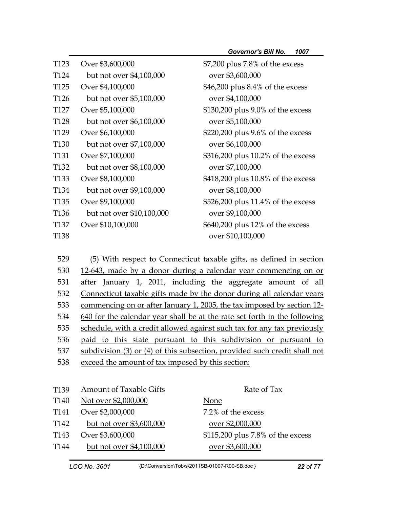| T <sub>123</sub> | Over \$3,600,000          | \$7,200 plus 7.8% of the excess                                  |
|------------------|---------------------------|------------------------------------------------------------------|
| T <sub>124</sub> | but not over \$4,100,000  | over \$3,600,000                                                 |
| T <sub>125</sub> | Over \$4,100,000          | \$46,200 plus 8.4% of the excess                                 |
| T <sub>126</sub> | but not over \$5,100,000  | over \$4,100,000                                                 |
| T <sub>127</sub> | Over \$5,100,000          | \$130,200 plus 9.0% of the excess                                |
| T <sub>128</sub> | but not over \$6,100,000  | over \$5,100,000                                                 |
| T <sub>129</sub> | Over \$6,100,000          | \$220,200 plus 9.6% of the excess                                |
| T <sub>130</sub> | but not over \$7,100,000  | over \$6,100,000                                                 |
| T <sub>131</sub> | Over \$7,100,000          | \$316,200 plus 10.2% of the excess                               |
| T <sub>132</sub> | but not over \$8,100,000  | over \$7,100,000                                                 |
| T <sub>133</sub> | Over \$8,100,000          | \$418,200 plus 10.8% of the excess                               |
| T <sub>134</sub> | but not over \$9,100,000  | over \$8,100,000                                                 |
| T <sub>135</sub> | Over \$9,100,000          | \$526,200 plus 11.4% of the excess                               |
| T <sub>136</sub> | but not over \$10,100,000 | over \$9,100,000                                                 |
| <b>T137</b>      | Over \$10,100,000         | \$640,200 plus 12% of the excess                                 |
| T138             |                           | over \$10,100,000                                                |
|                  |                           |                                                                  |
| 529              |                           | With respect to Connecticut taxable gifts, as defined in section |

530 12-643, made by a donor during a calendar year commencing on or 531 after January 1, 2011, including the aggregate amount of all 532 Connecticut taxable gifts made by the donor during all calendar years 533 commencing on or after January 1, 2005, the tax imposed by section 12- 534 640 for the calendar year shall be at the rate set forth in the following 535 schedule, with a credit allowed against such tax for any tax previously 536 paid to this state pursuant to this subdivision or pursuant to 537 subdivision (3) or (4) of this subsection, provided such credit shall not 538 exceed the amount of tax imposed by this section:

| T <sub>139</sub> | <b>Amount of Taxable Gifts</b> | Rate of Tax                       |
|------------------|--------------------------------|-----------------------------------|
| T <sub>140</sub> | Not over \$2,000,000           | None                              |
| T141             | Over \$2,000,000               | 7.2% of the excess                |
| T <sub>142</sub> | but not over \$3,600,000       | over \$2,000,000                  |
| T <sub>143</sub> | Over \$3,600,000               | \$115,200 plus 7.8% of the excess |
| T <sub>144</sub> | but not over \$4,100,000       | over \$3,600,000                  |
|                  |                                |                                   |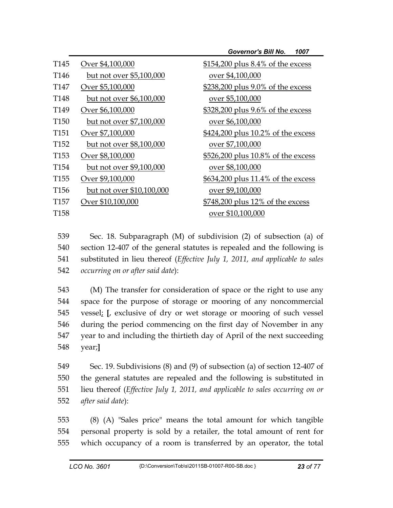|                  |                           | <b>Governor's Bill No.</b><br>1007 |
|------------------|---------------------------|------------------------------------|
| T145             | Over \$4,100,000          | \$154,200 plus 8.4% of the excess  |
| T <sub>146</sub> | but not over \$5,100,000  | over \$4,100,000                   |
| T147             | Over \$5,100,000          | \$238,200 plus 9.0% of the excess  |
| T <sub>148</sub> | but not over \$6,100,000  | over \$5,100,000                   |
| T <sub>149</sub> | Over \$6,100,000          | \$328,200 plus 9.6% of the excess  |
| T <sub>150</sub> | but not over \$7,100,000  | over \$6,100,000                   |
| T151             | Over \$7,100,000          | \$424,200 plus 10.2% of the excess |
| T <sub>152</sub> | but not over \$8,100,000  | over \$7,100,000                   |
| T <sub>153</sub> | Over \$8,100,000          | \$526,200 plus 10.8% of the excess |
| T <sub>154</sub> | but not over \$9,100,000  | over \$8,100,000                   |
| T <sub>155</sub> | Over \$9,100,000          | \$634,200 plus 11.4% of the excess |
| T <sub>156</sub> | but not over \$10,100,000 | over \$9,100,000                   |
| T157             | Over \$10,100,000         | \$748,200 plus 12% of the excess   |
| T <sub>158</sub> |                           | over \$10,100,000                  |
|                  |                           |                                    |

539 Sec. 18. Subparagraph (M) of subdivision (2) of subsection (a) of 540 section 12-407 of the general statutes is repealed and the following is 541 substituted in lieu thereof (*Effective July 1, 2011, and applicable to sales*  542 *occurring on or after said date*):

543 (M) The transfer for consideration of space or the right to use any 544 space for the purpose of storage or mooring of any noncommercial 545 vessel; **[**, exclusive of dry or wet storage or mooring of such vessel 546 during the period commencing on the first day of November in any 547 year to and including the thirtieth day of April of the next succeeding 548 year;**]**

549 Sec. 19. Subdivisions (8) and (9) of subsection (a) of section 12-407 of 550 the general statutes are repealed and the following is substituted in 551 lieu thereof (*Effective July 1, 2011, and applicable to sales occurring on or*  552 *after said date*):

553 (8) (A) "Sales price" means the total amount for which tangible 554 personal property is sold by a retailer, the total amount of rent for 555 which occupancy of a room is transferred by an operator, the total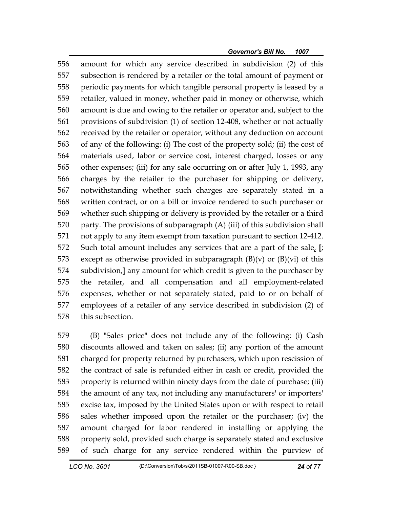556 amount for which any service described in subdivision (2) of this 557 subsection is rendered by a retailer or the total amount of payment or 558 periodic payments for which tangible personal property is leased by a 559 retailer, valued in money, whether paid in money or otherwise, which 560 amount is due and owing to the retailer or operator and, subject to the 561 provisions of subdivision (1) of section 12-408, whether or not actually 562 received by the retailer or operator, without any deduction on account 563 of any of the following: (i) The cost of the property sold; (ii) the cost of 564 materials used, labor or service cost, interest charged, losses or any 565 other expenses; (iii) for any sale occurring on or after July 1, 1993, any 566 charges by the retailer to the purchaser for shipping or delivery, 567 notwithstanding whether such charges are separately stated in a 568 written contract, or on a bill or invoice rendered to such purchaser or 569 whether such shipping or delivery is provided by the retailer or a third 570 party. The provisions of subparagraph (A) (iii) of this subdivision shall 571 not apply to any item exempt from taxation pursuant to section 12-412. 572 Such total amount includes any services that are a part of the sale, **[**; 573 except as otherwise provided in subparagraph  $(B)(v)$  or  $(B)(vi)$  of this 574 subdivision,**]** any amount for which credit is given to the purchaser by 575 the retailer, and all compensation and all employment-related 576 expenses, whether or not separately stated, paid to or on behalf of 577 employees of a retailer of any service described in subdivision (2) of 578 this subsection.

579 (B) "Sales price" does not include any of the following: (i) Cash 580 discounts allowed and taken on sales; (ii) any portion of the amount 581 charged for property returned by purchasers, which upon rescission of 582 the contract of sale is refunded either in cash or credit, provided the 583 property is returned within ninety days from the date of purchase; (iii) 584 the amount of any tax, not including any manufacturers' or importers' 585 excise tax, imposed by the United States upon or with respect to retail 586 sales whether imposed upon the retailer or the purchaser; (iv) the 587 amount charged for labor rendered in installing or applying the 588 property sold, provided such charge is separately stated and exclusive 589 of such charge for any service rendered within the purview of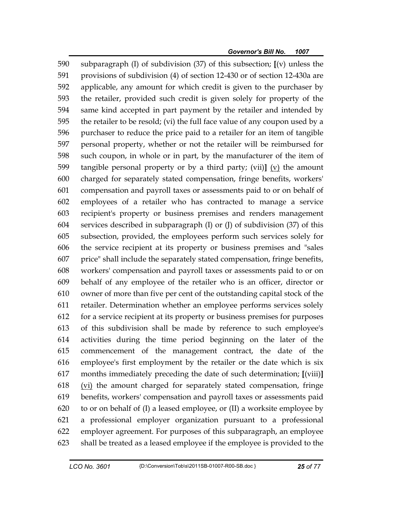590 subparagraph (I) of subdivision (37) of this subsection; **[**(v) unless the 591 provisions of subdivision (4) of section 12-430 or of section 12-430a are 592 applicable, any amount for which credit is given to the purchaser by 593 the retailer, provided such credit is given solely for property of the 594 same kind accepted in part payment by the retailer and intended by 595 the retailer to be resold; (vi) the full face value of any coupon used by a 596 purchaser to reduce the price paid to a retailer for an item of tangible 597 personal property, whether or not the retailer will be reimbursed for 598 such coupon, in whole or in part, by the manufacturer of the item of 599 tangible personal property or by a third party; (vii)**]** (v) the amount 600 charged for separately stated compensation, fringe benefits, workers' 601 compensation and payroll taxes or assessments paid to or on behalf of 602 employees of a retailer who has contracted to manage a service 603 recipient's property or business premises and renders management 604 services described in subparagraph (I) or (J) of subdivision (37) of this 605 subsection, provided, the employees perform such services solely for 606 the service recipient at its property or business premises and "sales 607 price" shall include the separately stated compensation, fringe benefits, 608 workers' compensation and payroll taxes or assessments paid to or on 609 behalf of any employee of the retailer who is an officer, director or 610 owner of more than five per cent of the outstanding capital stock of the 611 retailer. Determination whether an employee performs services solely 612 for a service recipient at its property or business premises for purposes 613 of this subdivision shall be made by reference to such employee's 614 activities during the time period beginning on the later of the 615 commencement of the management contract, the date of the 616 employee's first employment by the retailer or the date which is six 617 months immediately preceding the date of such determination; **[**(viii)**]** 618 (vi) the amount charged for separately stated compensation, fringe 619 benefits, workers' compensation and payroll taxes or assessments paid 620 to or on behalf of (I) a leased employee, or (II) a worksite employee by 621 a professional employer organization pursuant to a professional 622 employer agreement. For purposes of this subparagraph, an employee 623 shall be treated as a leased employee if the employee is provided to the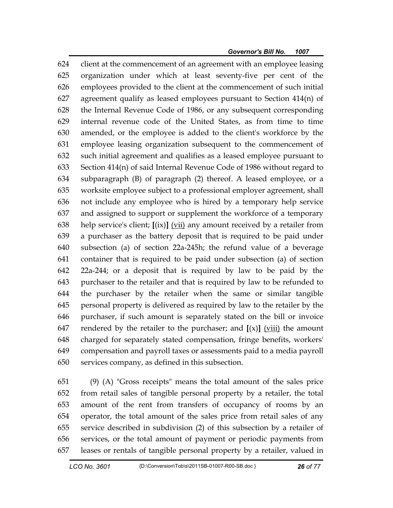624 client at the commencement of an agreement with an employee leasing 625 organization under which at least seventy-five per cent of the 626 employees provided to the client at the commencement of such initial 627 agreement qualify as leased employees pursuant to Section 414(n) of 628 the Internal Revenue Code of 1986, or any subsequent corresponding 629 internal revenue code of the United States, as from time to time 630 amended, or the employee is added to the client's workforce by the 631 employee leasing organization subsequent to the commencement of 632 such initial agreement and qualifies as a leased employee pursuant to 633 Section 414(n) of said Internal Revenue Code of 1986 without regard to 634 subparagraph (B) of paragraph (2) thereof. A leased employee, or a 635 worksite employee subject to a professional employer agreement, shall 636 not include any employee who is hired by a temporary help service 637 and assigned to support or supplement the workforce of a temporary 638 help service's client; **[**(ix)**]** (vii) any amount received by a retailer from 639 a purchaser as the battery deposit that is required to be paid under 640 subsection (a) of section 22a-245h; the refund value of a beverage 641 container that is required to be paid under subsection (a) of section 642 22a-244; or a deposit that is required by law to be paid by the 643 purchaser to the retailer and that is required by law to be refunded to 644 the purchaser by the retailer when the same or similar tangible 645 personal property is delivered as required by law to the retailer by the 646 purchaser, if such amount is separately stated on the bill or invoice 647 rendered by the retailer to the purchaser; and  $[(x)]$  (viii) the amount 648 charged for separately stated compensation, fringe benefits, workers' 649 compensation and payroll taxes or assessments paid to a media payroll 650 services company, as defined in this subsection.

651 (9) (A) "Gross receipts" means the total amount of the sales price 652 from retail sales of tangible personal property by a retailer, the total 653 amount of the rent from transfers of occupancy of rooms by an 654 operator, the total amount of the sales price from retail sales of any 655 service described in subdivision (2) of this subsection by a retailer of 656 services, or the total amount of payment or periodic payments from 657 leases or rentals of tangible personal property by a retailer, valued in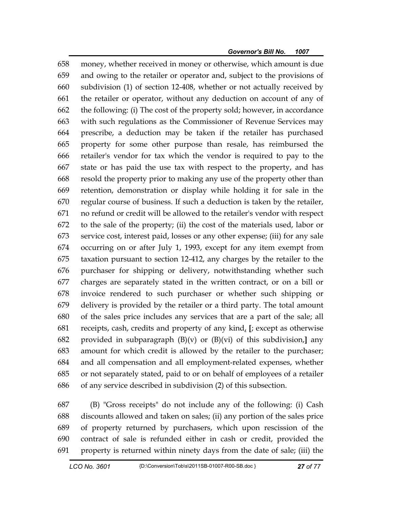658 money, whether received in money or otherwise, which amount is due 659 and owing to the retailer or operator and, subject to the provisions of 660 subdivision (1) of section 12-408, whether or not actually received by 661 the retailer or operator, without any deduction on account of any of 662 the following: (i) The cost of the property sold; however, in accordance 663 with such regulations as the Commissioner of Revenue Services may 664 prescribe, a deduction may be taken if the retailer has purchased 665 property for some other purpose than resale, has reimbursed the 666 retailer's vendor for tax which the vendor is required to pay to the 667 state or has paid the use tax with respect to the property, and has 668 resold the property prior to making any use of the property other than 669 retention, demonstration or display while holding it for sale in the 670 regular course of business. If such a deduction is taken by the retailer, 671 no refund or credit will be allowed to the retailer's vendor with respect 672 to the sale of the property; (ii) the cost of the materials used, labor or 673 service cost, interest paid, losses or any other expense; (iii) for any sale 674 occurring on or after July 1, 1993, except for any item exempt from 675 taxation pursuant to section 12-412, any charges by the retailer to the 676 purchaser for shipping or delivery, notwithstanding whether such 677 charges are separately stated in the written contract, or on a bill or 678 invoice rendered to such purchaser or whether such shipping or 679 delivery is provided by the retailer or a third party. The total amount 680 of the sales price includes any services that are a part of the sale; all 681 receipts, cash, credits and property of any kind, **[**; except as otherwise 682 provided in subparagraph (B)(v) or (B)(vi) of this subdivision,**]** any 683 amount for which credit is allowed by the retailer to the purchaser; 684 and all compensation and all employment-related expenses, whether 685 or not separately stated, paid to or on behalf of employees of a retailer 686 of any service described in subdivision (2) of this subsection.

687 (B) "Gross receipts" do not include any of the following: (i) Cash 688 discounts allowed and taken on sales; (ii) any portion of the sales price 689 of property returned by purchasers, which upon rescission of the 690 contract of sale is refunded either in cash or credit, provided the 691 property is returned within ninety days from the date of sale; (iii) the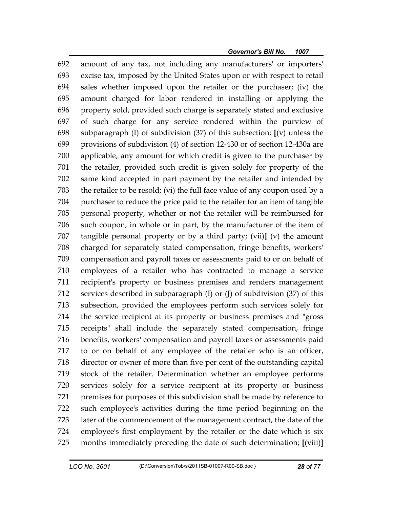692 amount of any tax, not including any manufacturers' or importers' 693 excise tax, imposed by the United States upon or with respect to retail 694 sales whether imposed upon the retailer or the purchaser; (iv) the 695 amount charged for labor rendered in installing or applying the 696 property sold, provided such charge is separately stated and exclusive 697 of such charge for any service rendered within the purview of 698 subparagraph (I) of subdivision (37) of this subsection; **[**(v) unless the 699 provisions of subdivision (4) of section 12-430 or of section 12-430a are 700 applicable, any amount for which credit is given to the purchaser by 701 the retailer, provided such credit is given solely for property of the 702 same kind accepted in part payment by the retailer and intended by 703 the retailer to be resold; (vi) the full face value of any coupon used by a 704 purchaser to reduce the price paid to the retailer for an item of tangible 705 personal property, whether or not the retailer will be reimbursed for 706 such coupon, in whole or in part, by the manufacturer of the item of 707 tangible personal property or by a third party; (vii)**]** (v) the amount 708 charged for separately stated compensation, fringe benefits, workers' 709 compensation and payroll taxes or assessments paid to or on behalf of 710 employees of a retailer who has contracted to manage a service 711 recipient's property or business premises and renders management 712 services described in subparagraph (I) or (J) of subdivision (37) of this 713 subsection, provided the employees perform such services solely for 714 the service recipient at its property or business premises and "gross 715 receipts" shall include the separately stated compensation, fringe 716 benefits, workers' compensation and payroll taxes or assessments paid 717 to or on behalf of any employee of the retailer who is an officer, 718 director or owner of more than five per cent of the outstanding capital 719 stock of the retailer. Determination whether an employee performs 720 services solely for a service recipient at its property or business 721 premises for purposes of this subdivision shall be made by reference to 722 such employee's activities during the time period beginning on the 723 later of the commencement of the management contract, the date of the 724 employee's first employment by the retailer or the date which is six 725 months immediately preceding the date of such determination; **[**(viii)**]**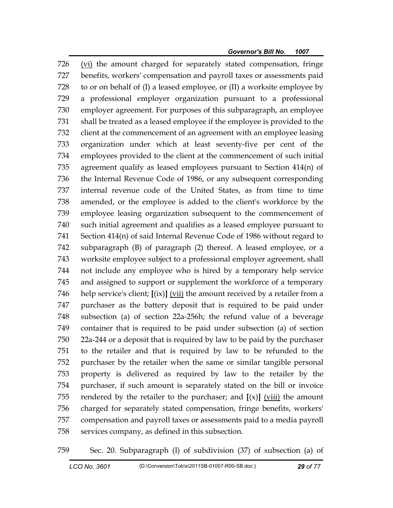726 (vi) the amount charged for separately stated compensation, fringe 727 benefits, workers' compensation and payroll taxes or assessments paid 728 to or on behalf of (I) a leased employee, or (II) a worksite employee by 729 a professional employer organization pursuant to a professional 730 employer agreement. For purposes of this subparagraph, an employee 731 shall be treated as a leased employee if the employee is provided to the 732 client at the commencement of an agreement with an employee leasing 733 organization under which at least seventy-five per cent of the 734 employees provided to the client at the commencement of such initial 735 agreement qualify as leased employees pursuant to Section 414(n) of 736 the Internal Revenue Code of 1986, or any subsequent corresponding 737 internal revenue code of the United States, as from time to time 738 amended, or the employee is added to the client's workforce by the 739 employee leasing organization subsequent to the commencement of 740 such initial agreement and qualifies as a leased employee pursuant to 741 Section 414(n) of said Internal Revenue Code of 1986 without regard to 742 subparagraph (B) of paragraph (2) thereof. A leased employee, or a 743 worksite employee subject to a professional employer agreement, shall 744 not include any employee who is hired by a temporary help service 745 and assigned to support or supplement the workforce of a temporary 746 help service's client; **[**(ix)**]** (vii) the amount received by a retailer from a 747 purchaser as the battery deposit that is required to be paid under 748 subsection (a) of section 22a-256h; the refund value of a beverage 749 container that is required to be paid under subsection (a) of section 750 22a-244 or a deposit that is required by law to be paid by the purchaser 751 to the retailer and that is required by law to be refunded to the 752 purchaser by the retailer when the same or similar tangible personal 753 property is delivered as required by law to the retailer by the 754 purchaser, if such amount is separately stated on the bill or invoice 755 rendered by the retailer to the purchaser; and  $[(x)]$  (viii) the amount 756 charged for separately stated compensation, fringe benefits, workers' 757 compensation and payroll taxes or assessments paid to a media payroll 758 services company, as defined in this subsection.

759 Sec. 20. Subparagraph (I) of subdivision (37) of subsection (a) of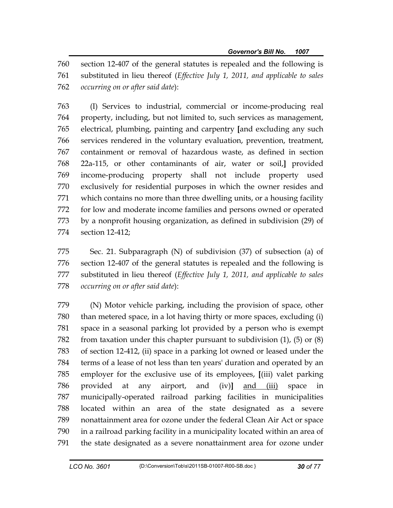760 section 12-407 of the general statutes is repealed and the following is 761 substituted in lieu thereof (*Effective July 1, 2011, and applicable to sales*  762 *occurring on or after said date*):

763 (I) Services to industrial, commercial or income-producing real 764 property, including, but not limited to, such services as management, 765 electrical, plumbing, painting and carpentry **[**and excluding any such 766 services rendered in the voluntary evaluation, prevention, treatment, 767 containment or removal of hazardous waste, as defined in section 768 22a-115, or other contaminants of air, water or soil,**]** provided 769 income-producing property shall not include property used 770 exclusively for residential purposes in which the owner resides and 771 which contains no more than three dwelling units, or a housing facility 772 for low and moderate income families and persons owned or operated 773 by a nonprofit housing organization, as defined in subdivision (29) of 774 section 12-412;

775 Sec. 21. Subparagraph (N) of subdivision (37) of subsection (a) of 776 section 12-407 of the general statutes is repealed and the following is 777 substituted in lieu thereof (*Effective July 1, 2011, and applicable to sales*  778 *occurring on or after said date*):

779 (N) Motor vehicle parking, including the provision of space, other 780 than metered space, in a lot having thirty or more spaces, excluding (i) 781 space in a seasonal parking lot provided by a person who is exempt 782 from taxation under this chapter pursuant to subdivision (1), (5) or (8) 783 of section 12-412, (ii) space in a parking lot owned or leased under the 784 terms of a lease of not less than ten years' duration and operated by an 785 employer for the exclusive use of its employees, **[**(iii) valet parking 786 provided at any airport, and (iv)**]** and (iii) space in 787 municipally-operated railroad parking facilities in municipalities 788 located within an area of the state designated as a severe 789 nonattainment area for ozone under the federal Clean Air Act or space 790 in a railroad parking facility in a municipality located within an area of 791 the state designated as a severe nonattainment area for ozone under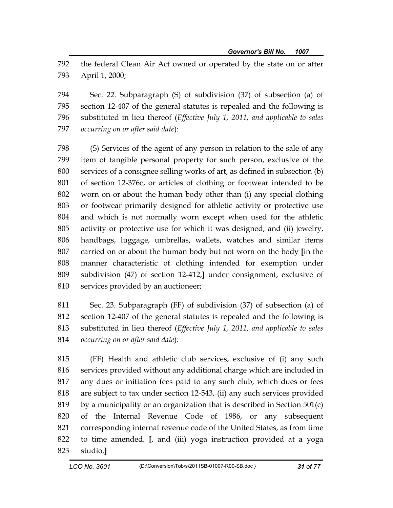792 the federal Clean Air Act owned or operated by the state on or after 793 April 1, 2000;

794 Sec. 22. Subparagraph (S) of subdivision (37) of subsection (a) of 795 section 12-407 of the general statutes is repealed and the following is 796 substituted in lieu thereof (*Effective July 1, 2011, and applicable to sales*  797 *occurring on or after said date*):

798 (S) Services of the agent of any person in relation to the sale of any 799 item of tangible personal property for such person, exclusive of the 800 services of a consignee selling works of art, as defined in subsection (b) 801 of section 12-376c, or articles of clothing or footwear intended to be 802 worn on or about the human body other than (i) any special clothing 803 or footwear primarily designed for athletic activity or protective use 804 and which is not normally worn except when used for the athletic 805 activity or protective use for which it was designed, and (ii) jewelry, 806 handbags, luggage, umbrellas, wallets, watches and similar items 807 carried on or about the human body but not worn on the body **[**in the 808 manner characteristic of clothing intended for exemption under 809 subdivision (47) of section 12-412,**]** under consignment, exclusive of 810 services provided by an auctioneer;

811 Sec. 23. Subparagraph (FF) of subdivision (37) of subsection (a) of 812 section 12-407 of the general statutes is repealed and the following is 813 substituted in lieu thereof (*Effective July 1, 2011, and applicable to sales*  814 *occurring on or after said date*):

815 (FF) Health and athletic club services, exclusive of (i) any such 816 services provided without any additional charge which are included in 817 any dues or initiation fees paid to any such club, which dues or fees 818 are subject to tax under section 12-543, (ii) any such services provided 819 by a municipality or an organization that is described in Section  $501(c)$ 820 of the Internal Revenue Code of 1986, or any subsequent 821 corresponding internal revenue code of the United States, as from time 822 to time amended. **[**, and (iii) yoga instruction provided at a yoga 823 studio.**]**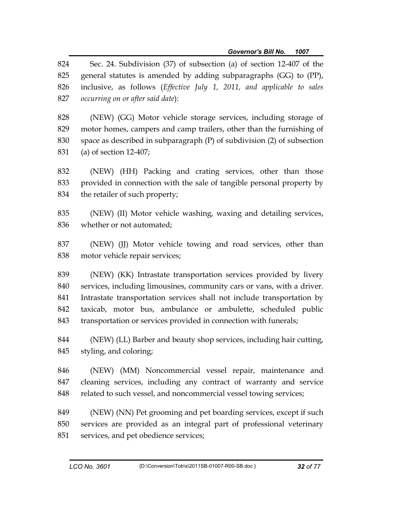824 Sec. 24. Subdivision (37) of subsection (a) of section 12-407 of the 825 general statutes is amended by adding subparagraphs (GG) to (PP), 826 inclusive, as follows (*Effective July 1, 2011, and applicable to sales*  827 *occurring on or after said date*):

828 (NEW) (GG) Motor vehicle storage services, including storage of 829 motor homes, campers and camp trailers, other than the furnishing of 830 space as described in subparagraph (P) of subdivision (2) of subsection 831 (a) of section 12-407;

832 (NEW) (HH) Packing and crating services, other than those 833 provided in connection with the sale of tangible personal property by 834 the retailer of such property;

835 (NEW) (II) Motor vehicle washing, waxing and detailing services, 836 whether or not automated;

837 (NEW) (JJ) Motor vehicle towing and road services, other than 838 motor vehicle repair services;

839 (NEW) (KK) Intrastate transportation services provided by livery 840 services, including limousines, community cars or vans, with a driver. 841 Intrastate transportation services shall not include transportation by 842 taxicab, motor bus, ambulance or ambulette, scheduled public 843 transportation or services provided in connection with funerals;

844 (NEW) (LL) Barber and beauty shop services, including hair cutting, 845 styling, and coloring;

846 (NEW) (MM) Noncommercial vessel repair, maintenance and 847 cleaning services, including any contract of warranty and service 848 related to such vessel, and noncommercial vessel towing services;

849 (NEW) (NN) Pet grooming and pet boarding services, except if such 850 services are provided as an integral part of professional veterinary 851 services, and pet obedience services;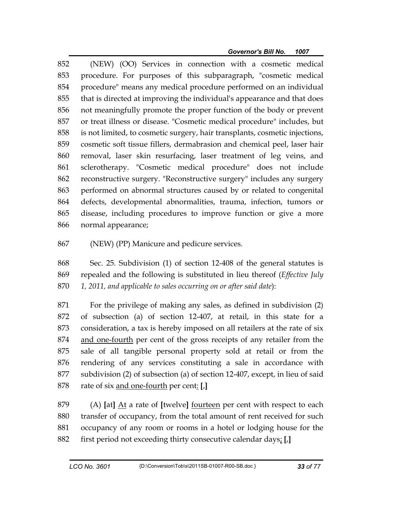852 (NEW) (OO) Services in connection with a cosmetic medical 853 procedure. For purposes of this subparagraph, "cosmetic medical 854 procedure" means any medical procedure performed on an individual 855 that is directed at improving the individual's appearance and that does 856 not meaningfully promote the proper function of the body or prevent 857 or treat illness or disease. "Cosmetic medical procedure" includes, but 858 is not limited, to cosmetic surgery, hair transplants, cosmetic injections, 859 cosmetic soft tissue fillers, dermabrasion and chemical peel, laser hair 860 removal, laser skin resurfacing, laser treatment of leg veins, and 861 sclerotherapy. "Cosmetic medical procedure" does not include 862 reconstructive surgery. "Reconstructive surgery" includes any surgery 863 performed on abnormal structures caused by or related to congenital 864 defects, developmental abnormalities, trauma, infection, tumors or 865 disease, including procedures to improve function or give a more 866 normal appearance;

867 (NEW) (PP) Manicure and pedicure services.

868 Sec. 25. Subdivision (1) of section 12-408 of the general statutes is 869 repealed and the following is substituted in lieu thereof (*Effective July*  870 *1, 2011, and applicable to sales occurring on or after said date*):

871 For the privilege of making any sales, as defined in subdivision (2) 872 of subsection (a) of section 12-407, at retail, in this state for a 873 consideration, a tax is hereby imposed on all retailers at the rate of six 874 and one-fourth per cent of the gross receipts of any retailer from the 875 sale of all tangible personal property sold at retail or from the 876 rendering of any services constituting a sale in accordance with 877 subdivision (2) of subsection (a) of section 12-407, except, in lieu of said 878 rate of six and one-fourth per cent: **[**,**]**

879 (A) **[**at**]** At a rate of **[**twelve**]** fourteen per cent with respect to each 880 transfer of occupancy, from the total amount of rent received for such 881 occupancy of any room or rooms in a hotel or lodging house for the 882 first period not exceeding thirty consecutive calendar days; **[**,**]**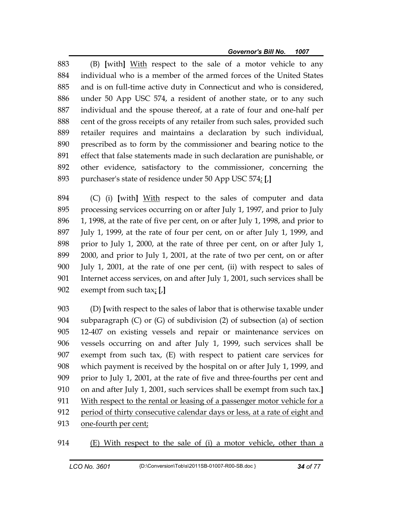883 (B) **[**with**]** With respect to the sale of a motor vehicle to any 884 individual who is a member of the armed forces of the United States 885 and is on full-time active duty in Connecticut and who is considered, 886 under 50 App USC 574, a resident of another state, or to any such 887 individual and the spouse thereof, at a rate of four and one-half per 888 cent of the gross receipts of any retailer from such sales, provided such 889 retailer requires and maintains a declaration by such individual, 890 prescribed as to form by the commissioner and bearing notice to the 891 effect that false statements made in such declaration are punishable, or 892 other evidence, satisfactory to the commissioner, concerning the 893 purchaser's state of residence under 50 App USC 574; **[**,**]**

894 (C) (i) **[**with**]** With respect to the sales of computer and data 895 processing services occurring on or after July 1, 1997, and prior to July 896 1, 1998, at the rate of five per cent, on or after July 1, 1998, and prior to 897 July 1, 1999, at the rate of four per cent, on or after July 1, 1999, and 898 prior to July 1, 2000, at the rate of three per cent, on or after July 1, 899 2000, and prior to July 1, 2001, at the rate of two per cent, on or after 900 July 1, 2001, at the rate of one per cent, (ii) with respect to sales of 901 Internet access services, on and after July 1, 2001, such services shall be 902 exempt from such tax; **[**,**]**

903 (D) **[**with respect to the sales of labor that is otherwise taxable under 904 subparagraph (C) or (G) of subdivision (2) of subsection (a) of section 905 12-407 on existing vessels and repair or maintenance services on 906 vessels occurring on and after July 1, 1999, such services shall be 907 exempt from such tax, (E) with respect to patient care services for 908 which payment is received by the hospital on or after July 1, 1999, and 909 prior to July 1, 2001, at the rate of five and three-fourths per cent and 910 on and after July 1, 2001, such services shall be exempt from such tax.**]** 911 With respect to the rental or leasing of a passenger motor vehicle for a 912 period of thirty consecutive calendar days or less, at a rate of eight and 913 one-fourth per cent;

914 (E) With respect to the sale of (i) a motor vehicle, other than a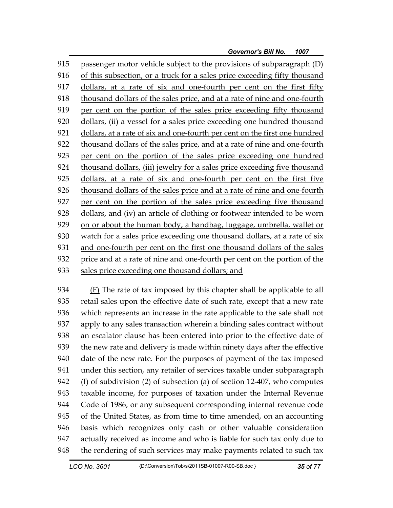915 passenger motor vehicle subject to the provisions of subparagraph (D) 916 of this subsection, or a truck for a sales price exceeding fifty thousand 917 dollars, at a rate of six and one-fourth per cent on the first fifty 918 thousand dollars of the sales price, and at a rate of nine and one-fourth 919 per cent on the portion of the sales price exceeding fifty thousand 920 dollars, (ii) a vessel for a sales price exceeding one hundred thousand 921 dollars, at a rate of six and one-fourth per cent on the first one hundred 922 thousand dollars of the sales price, and at a rate of nine and one-fourth 923 per cent on the portion of the sales price exceeding one hundred 924 thousand dollars, (iii) jewelry for a sales price exceeding five thousand 925 dollars, at a rate of six and one-fourth per cent on the first five 926 thousand dollars of the sales price and at a rate of nine and one-fourth 927 per cent on the portion of the sales price exceeding five thousand 928 dollars, and (iv) an article of clothing or footwear intended to be worn 929 on or about the human body, a handbag, luggage, umbrella, wallet or 930 watch for a sales price exceeding one thousand dollars, at a rate of six 931 and one-fourth per cent on the first one thousand dollars of the sales 932 price and at a rate of nine and one-fourth per cent on the portion of the 933 sales price exceeding one thousand dollars; and

934 (F) The rate of tax imposed by this chapter shall be applicable to all 935 retail sales upon the effective date of such rate, except that a new rate 936 which represents an increase in the rate applicable to the sale shall not 937 apply to any sales transaction wherein a binding sales contract without 938 an escalator clause has been entered into prior to the effective date of 939 the new rate and delivery is made within ninety days after the effective 940 date of the new rate. For the purposes of payment of the tax imposed 941 under this section, any retailer of services taxable under subparagraph 942 (I) of subdivision (2) of subsection (a) of section 12-407, who computes 943 taxable income, for purposes of taxation under the Internal Revenue 944 Code of 1986, or any subsequent corresponding internal revenue code 945 of the United States, as from time to time amended, on an accounting 946 basis which recognizes only cash or other valuable consideration 947 actually received as income and who is liable for such tax only due to 948 the rendering of such services may make payments related to such tax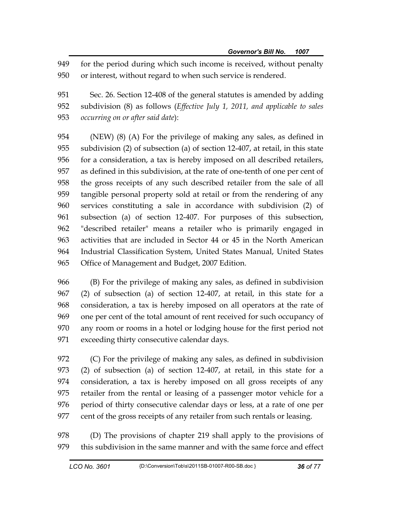949 for the period during which such income is received, without penalty 950 or interest, without regard to when such service is rendered.

951 Sec. 26. Section 12-408 of the general statutes is amended by adding 952 subdivision (8) as follows (*Effective July 1, 2011, and applicable to sales*  953 *occurring on or after said date*):

954 (NEW) (8) (A) For the privilege of making any sales, as defined in 955 subdivision (2) of subsection (a) of section 12-407, at retail, in this state 956 for a consideration, a tax is hereby imposed on all described retailers, 957 as defined in this subdivision, at the rate of one-tenth of one per cent of 958 the gross receipts of any such described retailer from the sale of all 959 tangible personal property sold at retail or from the rendering of any 960 services constituting a sale in accordance with subdivision (2) of 961 subsection (a) of section 12-407. For purposes of this subsection, 962 "described retailer" means a retailer who is primarily engaged in 963 activities that are included in Sector 44 or 45 in the North American 964 Industrial Classification System, United States Manual, United States 965 Office of Management and Budget, 2007 Edition.

966 (B) For the privilege of making any sales, as defined in subdivision 967 (2) of subsection (a) of section 12-407, at retail, in this state for a 968 consideration, a tax is hereby imposed on all operators at the rate of 969 one per cent of the total amount of rent received for such occupancy of 970 any room or rooms in a hotel or lodging house for the first period not 971 exceeding thirty consecutive calendar days.

972 (C) For the privilege of making any sales, as defined in subdivision 973 (2) of subsection (a) of section 12-407, at retail, in this state for a 974 consideration, a tax is hereby imposed on all gross receipts of any 975 retailer from the rental or leasing of a passenger motor vehicle for a 976 period of thirty consecutive calendar days or less, at a rate of one per 977 cent of the gross receipts of any retailer from such rentals or leasing.

978 (D) The provisions of chapter 219 shall apply to the provisions of 979 this subdivision in the same manner and with the same force and effect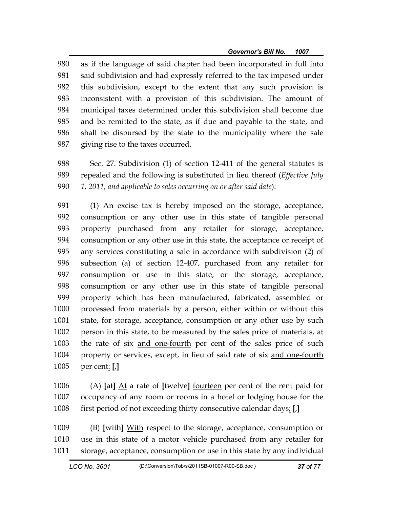980 as if the language of said chapter had been incorporated in full into 981 said subdivision and had expressly referred to the tax imposed under 982 this subdivision, except to the extent that any such provision is 983 inconsistent with a provision of this subdivision. The amount of 984 municipal taxes determined under this subdivision shall become due 985 and be remitted to the state, as if due and payable to the state, and 986 shall be disbursed by the state to the municipality where the sale 987 giving rise to the taxes occurred.

988 Sec. 27. Subdivision (1) of section 12-411 of the general statutes is 989 repealed and the following is substituted in lieu thereof (*Effective July*  990 *1, 2011, and applicable to sales occurring on or after said date*):

991 (1) An excise tax is hereby imposed on the storage, acceptance, 992 consumption or any other use in this state of tangible personal 993 property purchased from any retailer for storage, acceptance, 994 consumption or any other use in this state, the acceptance or receipt of 995 any services constituting a sale in accordance with subdivision (2) of 996 subsection (a) of section 12-407, purchased from any retailer for 997 consumption or use in this state, or the storage, acceptance, 998 consumption or any other use in this state of tangible personal 999 property which has been manufactured, fabricated, assembled or 1000 processed from materials by a person, either within or without this 1001 state, for storage, acceptance, consumption or any other use by such 1002 person in this state, to be measured by the sales price of materials, at 1003 the rate of six and one-fourth per cent of the sales price of such 1004 property or services, except, in lieu of said rate of six and one-fourth 1005 per cent: **[**,**]**

1006 (A) **[**at**]** At a rate of **[**twelve**]** fourteen per cent of the rent paid for 1007 occupancy of any room or rooms in a hotel or lodging house for the 1008 first period of not exceeding thirty consecutive calendar days; **[**,**]**

1009 (B) **[**with**]** With respect to the storage, acceptance, consumption or 1010 use in this state of a motor vehicle purchased from any retailer for 1011 storage, acceptance, consumption or use in this state by any individual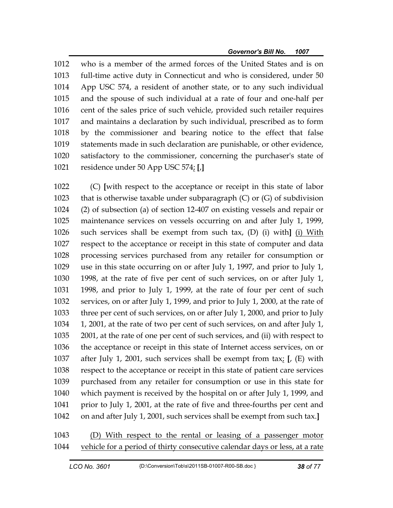1012 who is a member of the armed forces of the United States and is on 1013 full-time active duty in Connecticut and who is considered, under 50 1014 App USC 574, a resident of another state, or to any such individual 1015 and the spouse of such individual at a rate of four and one-half per 1016 cent of the sales price of such vehicle, provided such retailer requires 1017 and maintains a declaration by such individual, prescribed as to form 1018 by the commissioner and bearing notice to the effect that false 1019 statements made in such declaration are punishable, or other evidence, 1020 satisfactory to the commissioner, concerning the purchaser's state of 1021 residence under 50 App USC 574; **[**,**]**

1022 (C) **[**with respect to the acceptance or receipt in this state of labor 1023 that is otherwise taxable under subparagraph (C) or (G) of subdivision 1024 (2) of subsection (a) of section 12-407 on existing vessels and repair or 1025 maintenance services on vessels occurring on and after July 1, 1999, 1026 such services shall be exempt from such tax, (D) (i) with**]** (i) With 1027 respect to the acceptance or receipt in this state of computer and data 1028 processing services purchased from any retailer for consumption or 1029 use in this state occurring on or after July 1, 1997, and prior to July 1, 1030 1998, at the rate of five per cent of such services, on or after July 1, 1031 1998, and prior to July 1, 1999, at the rate of four per cent of such 1032 services, on or after July 1, 1999, and prior to July 1, 2000, at the rate of 1033 three per cent of such services, on or after July 1, 2000, and prior to July 1034 1, 2001, at the rate of two per cent of such services, on and after July 1, 1035 2001, at the rate of one per cent of such services, and (ii) with respect to 1036 the acceptance or receipt in this state of Internet access services, on or 1037 after July 1, 2001, such services shall be exempt from tax; **[**, (E) with 1038 respect to the acceptance or receipt in this state of patient care services 1039 purchased from any retailer for consumption or use in this state for 1040 which payment is received by the hospital on or after July 1, 1999, and 1041 prior to July 1, 2001, at the rate of five and three-fourths per cent and 1042 on and after July 1, 2001, such services shall be exempt from such tax.**]**

1043 (D) With respect to the rental or leasing of a passenger motor 1044 vehicle for a period of thirty consecutive calendar days or less, at a rate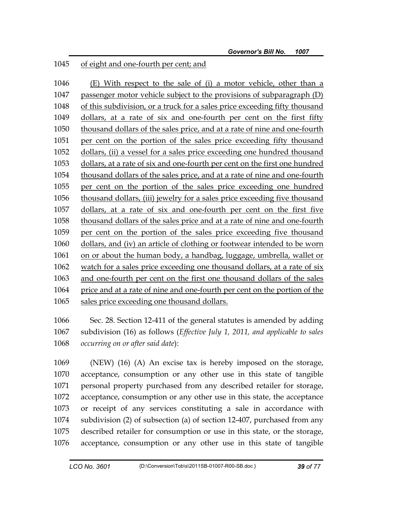## 1045 of eight and one-fourth per cent; and

1046 (E) With respect to the sale of (i) a motor vehicle, other than a 1047 passenger motor vehicle subject to the provisions of subparagraph (D) 1048 of this subdivision, or a truck for a sales price exceeding fifty thousand 1049 dollars, at a rate of six and one-fourth per cent on the first fifty 1050 thousand dollars of the sales price, and at a rate of nine and one-fourth 1051 per cent on the portion of the sales price exceeding fifty thousand 1052 dollars, (ii) a vessel for a sales price exceeding one hundred thousand 1053 dollars, at a rate of six and one-fourth per cent on the first one hundred 1054 thousand dollars of the sales price, and at a rate of nine and one-fourth 1055 per cent on the portion of the sales price exceeding one hundred 1056 thousand dollars, (iii) jewelry for a sales price exceeding five thousand 1057 dollars, at a rate of six and one-fourth per cent on the first five 1058 thousand dollars of the sales price and at a rate of nine and one-fourth 1059 per cent on the portion of the sales price exceeding five thousand 1060 dollars, and (iv) an article of clothing or footwear intended to be worn 1061 on or about the human body, a handbag, luggage, umbrella, wallet or 1062 watch for a sales price exceeding one thousand dollars, at a rate of six 1063 and one-fourth per cent on the first one thousand dollars of the sales 1064 price and at a rate of nine and one-fourth per cent on the portion of the 1065 sales price exceeding one thousand dollars.

1066 Sec. 28. Section 12-411 of the general statutes is amended by adding 1067 subdivision (16) as follows (*Effective July 1, 2011, and applicable to sales*  1068 *occurring on or after said date*):

1069 (NEW) (16) (A) An excise tax is hereby imposed on the storage, 1070 acceptance, consumption or any other use in this state of tangible 1071 personal property purchased from any described retailer for storage, 1072 acceptance, consumption or any other use in this state, the acceptance 1073 or receipt of any services constituting a sale in accordance with 1074 subdivision (2) of subsection (a) of section 12-407, purchased from any 1075 described retailer for consumption or use in this state, or the storage, 1076 acceptance, consumption or any other use in this state of tangible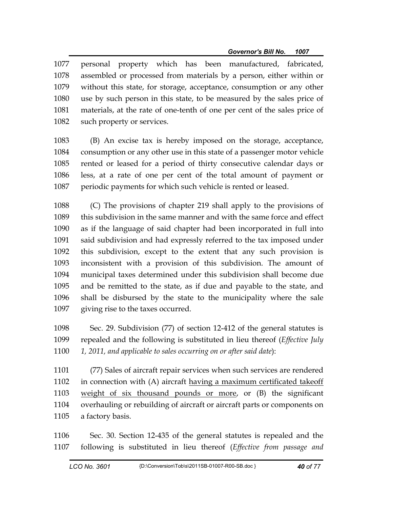1077 personal property which has been manufactured, fabricated, 1078 assembled or processed from materials by a person, either within or 1079 without this state, for storage, acceptance, consumption or any other 1080 use by such person in this state, to be measured by the sales price of 1081 materials, at the rate of one-tenth of one per cent of the sales price of 1082 such property or services.

1083 (B) An excise tax is hereby imposed on the storage, acceptance, 1084 consumption or any other use in this state of a passenger motor vehicle 1085 rented or leased for a period of thirty consecutive calendar days or 1086 less, at a rate of one per cent of the total amount of payment or 1087 periodic payments for which such vehicle is rented or leased.

1088 (C) The provisions of chapter 219 shall apply to the provisions of 1089 this subdivision in the same manner and with the same force and effect 1090 as if the language of said chapter had been incorporated in full into 1091 said subdivision and had expressly referred to the tax imposed under 1092 this subdivision, except to the extent that any such provision is 1093 inconsistent with a provision of this subdivision. The amount of 1094 municipal taxes determined under this subdivision shall become due 1095 and be remitted to the state, as if due and payable to the state, and 1096 shall be disbursed by the state to the municipality where the sale 1097 giving rise to the taxes occurred.

1098 Sec. 29. Subdivision (77) of section 12-412 of the general statutes is 1099 repealed and the following is substituted in lieu thereof (*Effective July*  1100 *1, 2011, and applicable to sales occurring on or after said date*):

1101 (77) Sales of aircraft repair services when such services are rendered 1102 in connection with (A) aircraft having a maximum certificated takeoff 1103 weight of six thousand pounds or more, or (B) the significant 1104 overhauling or rebuilding of aircraft or aircraft parts or components on 1105 a factory basis.

1106 Sec. 30. Section 12-435 of the general statutes is repealed and the 1107 following is substituted in lieu thereof (*Effective from passage and*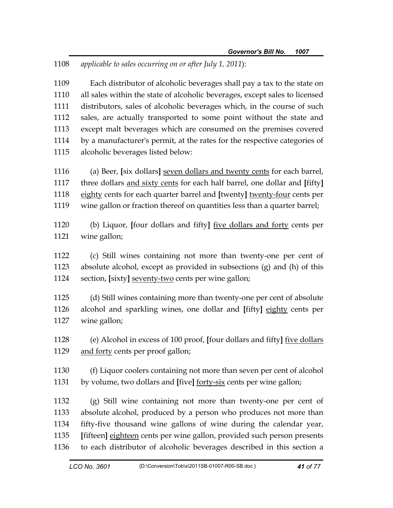1108 *applicable to sales occurring on or after July 1, 2011*):

1109 Each distributor of alcoholic beverages shall pay a tax to the state on 1110 all sales within the state of alcoholic beverages, except sales to licensed 1111 distributors, sales of alcoholic beverages which, in the course of such 1112 sales, are actually transported to some point without the state and 1113 except malt beverages which are consumed on the premises covered 1114 by a manufacturer's permit, at the rates for the respective categories of 1115 alcoholic beverages listed below:

1116 (a) Beer, **[**six dollars**]** seven dollars and twenty cents for each barrel, 1117 three dollars and sixty cents for each half barrel, one dollar and **[**fifty**]** 1118 eighty cents for each quarter barrel and **[**twenty**]** twenty-four cents per 1119 wine gallon or fraction thereof on quantities less than a quarter barrel;

1120 (b) Liquor, **[**four dollars and fifty**]** five dollars and forty cents per 1121 wine gallon;

1122 (c) Still wines containing not more than twenty-one per cent of 1123 absolute alcohol, except as provided in subsections (g) and (h) of this 1124 section, **[**sixty**]** seventy-two cents per wine gallon;

1125 (d) Still wines containing more than twenty-one per cent of absolute 1126 alcohol and sparkling wines, one dollar and **[**fifty**]** eighty cents per 1127 wine gallon;

1128 (e) Alcohol in excess of 100 proof, **[**four dollars and fifty**]** five dollars 1129 and forty cents per proof gallon;

1130 (f) Liquor coolers containing not more than seven per cent of alcohol 1131 by volume, two dollars and **[**five**]** forty-six cents per wine gallon;

1132 (g) Still wine containing not more than twenty-one per cent of 1133 absolute alcohol, produced by a person who produces not more than 1134 fifty-five thousand wine gallons of wine during the calendar year, 1135 **[**fifteen**]** eighteen cents per wine gallon, provided such person presents 1136 to each distributor of alcoholic beverages described in this section a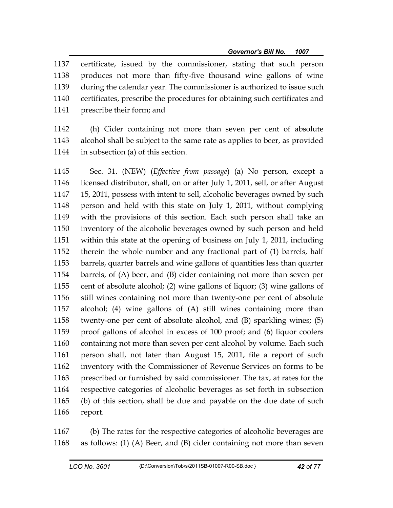1137 certificate, issued by the commissioner, stating that such person 1138 produces not more than fifty-five thousand wine gallons of wine 1139 during the calendar year. The commissioner is authorized to issue such 1140 certificates, prescribe the procedures for obtaining such certificates and 1141 prescribe their form; and

1142 (h) Cider containing not more than seven per cent of absolute 1143 alcohol shall be subject to the same rate as applies to beer, as provided 1144 in subsection (a) of this section.

1145 Sec. 31. (NEW) (*Effective from passage*) (a) No person, except a 1146 licensed distributor, shall, on or after July 1, 2011, sell, or after August 1147 15, 2011, possess with intent to sell, alcoholic beverages owned by such 1148 person and held with this state on July 1, 2011, without complying 1149 with the provisions of this section. Each such person shall take an 1150 inventory of the alcoholic beverages owned by such person and held 1151 within this state at the opening of business on July 1, 2011, including 1152 therein the whole number and any fractional part of (1) barrels, half 1153 barrels, quarter barrels and wine gallons of quantities less than quarter 1154 barrels, of (A) beer, and (B) cider containing not more than seven per 1155 cent of absolute alcohol; (2) wine gallons of liquor; (3) wine gallons of 1156 still wines containing not more than twenty-one per cent of absolute 1157 alcohol; (4) wine gallons of (A) still wines containing more than 1158 twenty-one per cent of absolute alcohol, and (B) sparkling wines; (5) 1159 proof gallons of alcohol in excess of 100 proof; and (6) liquor coolers 1160 containing not more than seven per cent alcohol by volume. Each such 1161 person shall, not later than August 15, 2011, file a report of such 1162 inventory with the Commissioner of Revenue Services on forms to be 1163 prescribed or furnished by said commissioner. The tax, at rates for the 1164 respective categories of alcoholic beverages as set forth in subsection 1165 (b) of this section, shall be due and payable on the due date of such 1166 report.

1167 (b) The rates for the respective categories of alcoholic beverages are 1168 as follows: (1) (A) Beer, and (B) cider containing not more than seven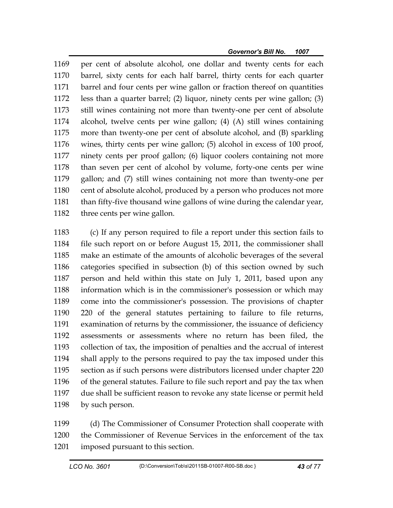1169 per cent of absolute alcohol, one dollar and twenty cents for each 1170 barrel, sixty cents for each half barrel, thirty cents for each quarter 1171 barrel and four cents per wine gallon or fraction thereof on quantities 1172 less than a quarter barrel; (2) liquor, ninety cents per wine gallon; (3) 1173 still wines containing not more than twenty-one per cent of absolute 1174 alcohol, twelve cents per wine gallon; (4) (A) still wines containing 1175 more than twenty-one per cent of absolute alcohol, and (B) sparkling 1176 wines, thirty cents per wine gallon; (5) alcohol in excess of 100 proof, 1177 ninety cents per proof gallon; (6) liquor coolers containing not more 1178 than seven per cent of alcohol by volume, forty-one cents per wine 1179 gallon; and (7) still wines containing not more than twenty-one per 1180 cent of absolute alcohol, produced by a person who produces not more 1181 than fifty-five thousand wine gallons of wine during the calendar year, 1182 three cents per wine gallon.

1183 (c) If any person required to file a report under this section fails to 1184 file such report on or before August 15, 2011, the commissioner shall 1185 make an estimate of the amounts of alcoholic beverages of the several 1186 categories specified in subsection (b) of this section owned by such 1187 person and held within this state on July 1, 2011, based upon any 1188 information which is in the commissioner's possession or which may 1189 come into the commissioner's possession. The provisions of chapter 1190 220 of the general statutes pertaining to failure to file returns, 1191 examination of returns by the commissioner, the issuance of deficiency 1192 assessments or assessments where no return has been filed, the 1193 collection of tax, the imposition of penalties and the accrual of interest 1194 shall apply to the persons required to pay the tax imposed under this 1195 section as if such persons were distributors licensed under chapter 220 1196 of the general statutes. Failure to file such report and pay the tax when 1197 due shall be sufficient reason to revoke any state license or permit held 1198 by such person.

1199 (d) The Commissioner of Consumer Protection shall cooperate with 1200 the Commissioner of Revenue Services in the enforcement of the tax 1201 imposed pursuant to this section.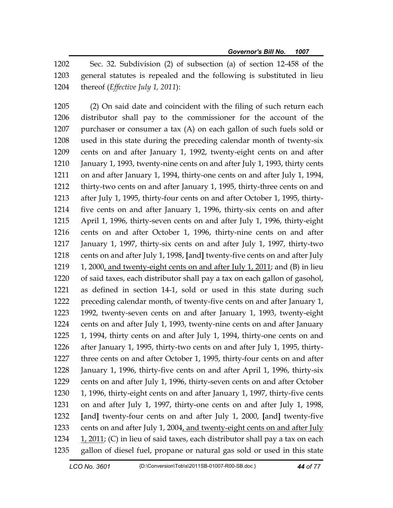1202 Sec. 32. Subdivision (2) of subsection (a) of section 12-458 of the 1203 general statutes is repealed and the following is substituted in lieu 1204 thereof (*Effective July 1, 2011*):

1205 (2) On said date and coincident with the filing of such return each 1206 distributor shall pay to the commissioner for the account of the 1207 purchaser or consumer a tax (A) on each gallon of such fuels sold or 1208 used in this state during the preceding calendar month of twenty-six 1209 cents on and after January 1, 1992, twenty-eight cents on and after 1210 January 1, 1993, twenty-nine cents on and after July 1, 1993, thirty cents 1211 on and after January 1, 1994, thirty-one cents on and after July 1, 1994, 1212 thirty-two cents on and after January 1, 1995, thirty-three cents on and 1213 after July 1, 1995, thirty-four cents on and after October 1, 1995, thirty-1214 five cents on and after January 1, 1996, thirty-six cents on and after 1215 April 1, 1996, thirty-seven cents on and after July 1, 1996, thirty-eight 1216 cents on and after October 1, 1996, thirty-nine cents on and after 1217 January 1, 1997, thirty-six cents on and after July 1, 1997, thirty-two 1218 cents on and after July 1, 1998, **[**and**]** twenty-five cents on and after July 1219 1, 2000, and twenty-eight cents on and after July 1, 2011; and (B) in lieu 1220 of said taxes, each distributor shall pay a tax on each gallon of gasohol, 1221 as defined in section 14-1, sold or used in this state during such 1222 preceding calendar month, of twenty-five cents on and after January 1, 1223 1992, twenty-seven cents on and after January 1, 1993, twenty-eight 1224 cents on and after July 1, 1993, twenty-nine cents on and after January 1225 1, 1994, thirty cents on and after July 1, 1994, thirty-one cents on and 1226 after January 1, 1995, thirty-two cents on and after July 1, 1995, thirty-1227 three cents on and after October 1, 1995, thirty-four cents on and after 1228 January 1, 1996, thirty-five cents on and after April 1, 1996, thirty-six 1229 cents on and after July 1, 1996, thirty-seven cents on and after October 1230 1, 1996, thirty-eight cents on and after January 1, 1997, thirty-five cents 1231 on and after July 1, 1997, thirty-one cents on and after July 1, 1998, 1232 **[**and**]** twenty-four cents on and after July 1, 2000, **[**and**]** twenty-five 1233 cents on and after July 1, 2004, and twenty-eight cents on and after July 1234 1, 2011; (C) in lieu of said taxes, each distributor shall pay a tax on each 1235 gallon of diesel fuel, propane or natural gas sold or used in this state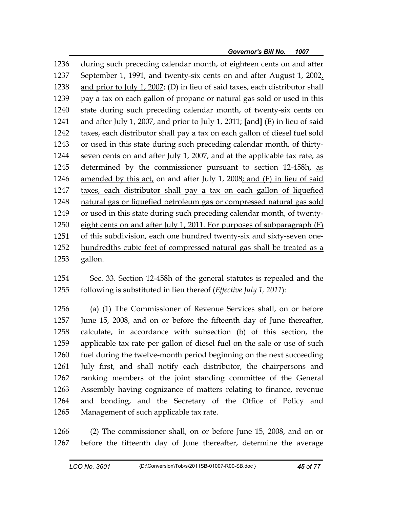1236 during such preceding calendar month, of eighteen cents on and after 1237 September 1, 1991, and twenty-six cents on and after August 1, 2002, 1238 and prior to July 1, 2007; (D) in lieu of said taxes, each distributor shall 1239 pay a tax on each gallon of propane or natural gas sold or used in this 1240 state during such preceding calendar month, of twenty-six cents on 1241 and after July 1, 2007, and prior to July 1, 2011; **[**and**]** (E) in lieu of said 1242 taxes, each distributor shall pay a tax on each gallon of diesel fuel sold 1243 or used in this state during such preceding calendar month, of thirty-1244 seven cents on and after July 1, 2007, and at the applicable tax rate, as 1245 determined by the commissioner pursuant to section 12-458h, as 1246 amended by this act, on and after July 1, 2008; and (F) in lieu of said 1247 taxes, each distributor shall pay a tax on each gallon of liquefied 1248 natural gas or liquefied petroleum gas or compressed natural gas sold 1249 or used in this state during such preceding calendar month, of twenty-1250 eight cents on and after July 1, 2011. For purposes of subparagraph (F) 1251 of this subdivision, each one hundred twenty-six and sixty-seven one-1252 hundredths cubic feet of compressed natural gas shall be treated as a 1253 gallon.

1254 Sec. 33. Section 12-458h of the general statutes is repealed and the 1255 following is substituted in lieu thereof (*Effective July 1, 2011*):

1256 (a) (1) The Commissioner of Revenue Services shall, on or before 1257 June 15, 2008, and on or before the fifteenth day of June thereafter, 1258 calculate, in accordance with subsection (b) of this section, the 1259 applicable tax rate per gallon of diesel fuel on the sale or use of such 1260 fuel during the twelve-month period beginning on the next succeeding 1261 July first, and shall notify each distributor, the chairpersons and 1262 ranking members of the joint standing committee of the General 1263 Assembly having cognizance of matters relating to finance, revenue 1264 and bonding, and the Secretary of the Office of Policy and 1265 Management of such applicable tax rate.

1266 (2) The commissioner shall, on or before June 15, 2008, and on or 1267 before the fifteenth day of June thereafter, determine the average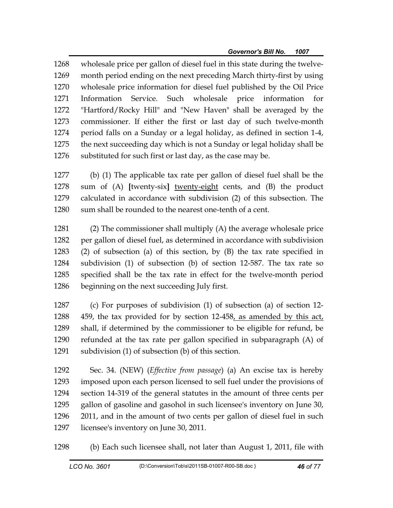1268 wholesale price per gallon of diesel fuel in this state during the twelve-1269 month period ending on the next preceding March thirty-first by using 1270 wholesale price information for diesel fuel published by the Oil Price 1271 Information Service. Such wholesale price information for 1272 "Hartford/Rocky Hill" and "New Haven" shall be averaged by the 1273 commissioner. If either the first or last day of such twelve-month 1274 period falls on a Sunday or a legal holiday, as defined in section 1-4, 1275 the next succeeding day which is not a Sunday or legal holiday shall be 1276 substituted for such first or last day, as the case may be.

1277 (b) (1) The applicable tax rate per gallon of diesel fuel shall be the 1278 sum of (A) **[**twenty-six**]** twenty-eight cents, and (B) the product 1279 calculated in accordance with subdivision (2) of this subsection. The 1280 sum shall be rounded to the nearest one-tenth of a cent.

1281 (2) The commissioner shall multiply (A) the average wholesale price 1282 per gallon of diesel fuel, as determined in accordance with subdivision 1283 (2) of subsection (a) of this section, by (B) the tax rate specified in 1284 subdivision (1) of subsection (b) of section 12-587. The tax rate so 1285 specified shall be the tax rate in effect for the twelve-month period 1286 beginning on the next succeeding July first.

1287 (c) For purposes of subdivision (1) of subsection (a) of section 12- 1288 459, the tax provided for by section 12-458, as amended by this act, 1289 shall, if determined by the commissioner to be eligible for refund, be 1290 refunded at the tax rate per gallon specified in subparagraph (A) of 1291 subdivision (1) of subsection (b) of this section.

1292 Sec. 34. (NEW) (*Effective from passage*) (a) An excise tax is hereby 1293 imposed upon each person licensed to sell fuel under the provisions of 1294 section 14-319 of the general statutes in the amount of three cents per 1295 gallon of gasoline and gasohol in such licensee's inventory on June 30, 1296 2011, and in the amount of two cents per gallon of diesel fuel in such 1297 licensee's inventory on June 30, 2011.

1298 (b) Each such licensee shall, not later than August 1, 2011, file with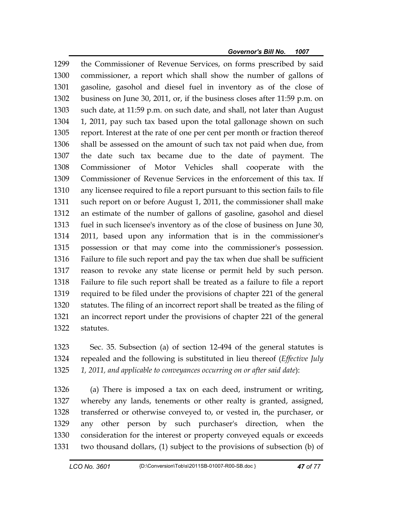1299 the Commissioner of Revenue Services, on forms prescribed by said 1300 commissioner, a report which shall show the number of gallons of 1301 gasoline, gasohol and diesel fuel in inventory as of the close of 1302 business on June 30, 2011, or, if the business closes after 11:59 p.m. on 1303 such date, at 11:59 p.m. on such date, and shall, not later than August 1304 1, 2011, pay such tax based upon the total gallonage shown on such 1305 report. Interest at the rate of one per cent per month or fraction thereof 1306 shall be assessed on the amount of such tax not paid when due, from 1307 the date such tax became due to the date of payment. The 1308 Commissioner of Motor Vehicles shall cooperate with the 1309 Commissioner of Revenue Services in the enforcement of this tax. If 1310 any licensee required to file a report pursuant to this section fails to file 1311 such report on or before August 1, 2011, the commissioner shall make 1312 an estimate of the number of gallons of gasoline, gasohol and diesel 1313 fuel in such licensee's inventory as of the close of business on June 30, 1314 2011, based upon any information that is in the commissioner's 1315 possession or that may come into the commissioner's possession. 1316 Failure to file such report and pay the tax when due shall be sufficient 1317 reason to revoke any state license or permit held by such person. 1318 Failure to file such report shall be treated as a failure to file a report 1319 required to be filed under the provisions of chapter 221 of the general 1320 statutes. The filing of an incorrect report shall be treated as the filing of 1321 an incorrect report under the provisions of chapter 221 of the general 1322 statutes.

1323 Sec. 35. Subsection (a) of section 12-494 of the general statutes is 1324 repealed and the following is substituted in lieu thereof (*Effective July*  1325 *1, 2011, and applicable to conveyances occurring on or after said date*):

1326 (a) There is imposed a tax on each deed, instrument or writing, 1327 whereby any lands, tenements or other realty is granted, assigned, 1328 transferred or otherwise conveyed to, or vested in, the purchaser, or 1329 any other person by such purchaser's direction, when the 1330 consideration for the interest or property conveyed equals or exceeds 1331 two thousand dollars, (1) subject to the provisions of subsection (b) of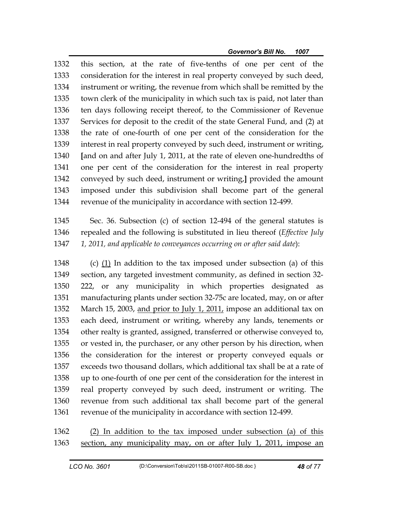1332 this section, at the rate of five-tenths of one per cent of the 1333 consideration for the interest in real property conveyed by such deed, 1334 instrument or writing, the revenue from which shall be remitted by the 1335 town clerk of the municipality in which such tax is paid, not later than 1336 ten days following receipt thereof, to the Commissioner of Revenue 1337 Services for deposit to the credit of the state General Fund, and (2) at 1338 the rate of one-fourth of one per cent of the consideration for the 1339 interest in real property conveyed by such deed, instrument or writing, 1340 **[**and on and after July 1, 2011, at the rate of eleven one-hundredths of 1341 one per cent of the consideration for the interest in real property 1342 conveyed by such deed, instrument or writing,**]** provided the amount 1343 imposed under this subdivision shall become part of the general 1344 revenue of the municipality in accordance with section 12-499.

1345 Sec. 36. Subsection (c) of section 12-494 of the general statutes is 1346 repealed and the following is substituted in lieu thereof (*Effective July*  1347 *1, 2011, and applicable to conveyances occurring on or after said date*):

1348 (c)  $(1)$  In addition to the tax imposed under subsection (a) of this 1349 section, any targeted investment community, as defined in section 32- 1350 222, or any municipality in which properties designated as 1351 manufacturing plants under section 32-75c are located, may, on or after 1352 March 15, 2003, and prior to July 1, 2011, impose an additional tax on 1353 each deed, instrument or writing, whereby any lands, tenements or 1354 other realty is granted, assigned, transferred or otherwise conveyed to, 1355 or vested in, the purchaser, or any other person by his direction, when 1356 the consideration for the interest or property conveyed equals or 1357 exceeds two thousand dollars, which additional tax shall be at a rate of 1358 up to one-fourth of one per cent of the consideration for the interest in 1359 real property conveyed by such deed, instrument or writing. The 1360 revenue from such additional tax shall become part of the general 1361 revenue of the municipality in accordance with section 12-499.

1362 (2) In addition to the tax imposed under subsection (a) of this 1363 section, any municipality may, on or after July 1, 2011, impose an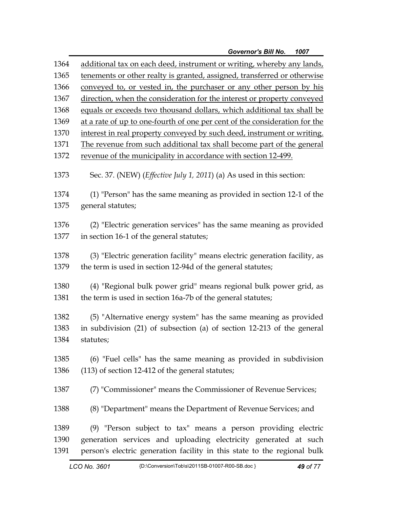| 1364 | additional tax on each deed, instrument or writing, whereby any lands,        |
|------|-------------------------------------------------------------------------------|
| 1365 | tenements or other realty is granted, assigned, transferred or otherwise      |
| 1366 | conveyed to, or vested in, the purchaser or any other person by his           |
| 1367 | direction, when the consideration for the interest or property conveyed       |
| 1368 | equals or exceeds two thousand dollars, which additional tax shall be         |
| 1369 | at a rate of up to one-fourth of one per cent of the consideration for the    |
| 1370 | interest in real property conveyed by such deed, instrument or writing.       |
| 1371 | The revenue from such additional tax shall become part of the general         |
| 1372 | revenue of the municipality in accordance with section 12-499.                |
| 1373 | Sec. 37. (NEW) ( <i>Effective July 1, 2011</i> ) (a) As used in this section: |
| 1374 | (1) "Person" has the same meaning as provided in section 12-1 of the          |
| 1375 | general statutes;                                                             |
|      |                                                                               |
| 1376 | (2) "Electric generation services" has the same meaning as provided           |
| 1377 | in section 16-1 of the general statutes;                                      |
| 1378 | (3) "Electric generation facility" means electric generation facility, as     |
| 1379 | the term is used in section 12-94d of the general statutes;                   |
|      |                                                                               |
| 1380 | (4) "Regional bulk power grid" means regional bulk power grid, as             |
| 1381 | the term is used in section 16a-7b of the general statutes;                   |
|      |                                                                               |
| 1382 | (5) "Alternative energy system" has the same meaning as provided              |
| 1383 | in subdivision (21) of subsection (a) of section 12-213 of the general        |
| 1384 | statutes;                                                                     |
| 1385 | $(6)$ "Fuel cells" has the same meaning as provided in subdivision            |
| 1386 | (113) of section 12-412 of the general statutes;                              |
|      |                                                                               |
| 1387 | (7) "Commissioner" means the Commissioner of Revenue Services;                |
| 1388 | (8) "Department" means the Department of Revenue Services; and                |
| 1389 | (9) "Person subject to tax" means a person providing electric                 |
| 1390 | generation services and uploading electricity generated at such               |
| 1391 | person's electric generation facility in this state to the regional bulk      |
|      |                                                                               |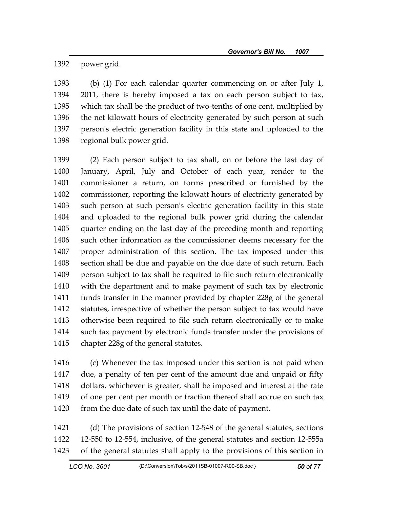1392 power grid.

1393 (b) (1) For each calendar quarter commencing on or after July 1, 1394 2011, there is hereby imposed a tax on each person subject to tax, 1395 which tax shall be the product of two-tenths of one cent, multiplied by 1396 the net kilowatt hours of electricity generated by such person at such 1397 person's electric generation facility in this state and uploaded to the 1398 regional bulk power grid.

1399 (2) Each person subject to tax shall, on or before the last day of 1400 January, April, July and October of each year, render to the 1401 commissioner a return, on forms prescribed or furnished by the 1402 commissioner, reporting the kilowatt hours of electricity generated by 1403 such person at such person's electric generation facility in this state 1404 and uploaded to the regional bulk power grid during the calendar 1405 quarter ending on the last day of the preceding month and reporting 1406 such other information as the commissioner deems necessary for the 1407 proper administration of this section. The tax imposed under this 1408 section shall be due and payable on the due date of such return. Each 1409 person subject to tax shall be required to file such return electronically 1410 with the department and to make payment of such tax by electronic 1411 funds transfer in the manner provided by chapter 228g of the general 1412 statutes, irrespective of whether the person subject to tax would have 1413 otherwise been required to file such return electronically or to make 1414 such tax payment by electronic funds transfer under the provisions of 1415 chapter 228g of the general statutes.

1416 (c) Whenever the tax imposed under this section is not paid when 1417 due, a penalty of ten per cent of the amount due and unpaid or fifty 1418 dollars, whichever is greater, shall be imposed and interest at the rate 1419 of one per cent per month or fraction thereof shall accrue on such tax 1420 from the due date of such tax until the date of payment.

1421 (d) The provisions of section 12-548 of the general statutes, sections 1422 12-550 to 12-554, inclusive, of the general statutes and section 12-555a 1423 of the general statutes shall apply to the provisions of this section in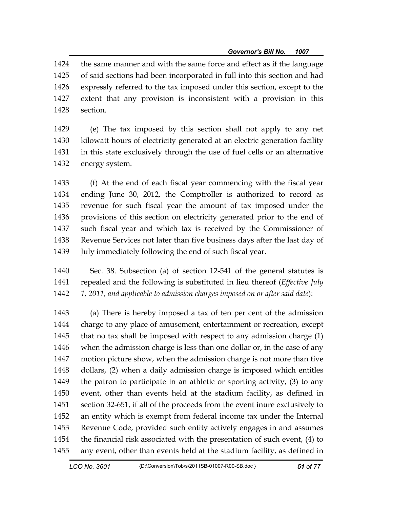1424 the same manner and with the same force and effect as if the language 1425 of said sections had been incorporated in full into this section and had 1426 expressly referred to the tax imposed under this section, except to the 1427 extent that any provision is inconsistent with a provision in this 1428 section.

1429 (e) The tax imposed by this section shall not apply to any net 1430 kilowatt hours of electricity generated at an electric generation facility 1431 in this state exclusively through the use of fuel cells or an alternative 1432 energy system.

1433 (f) At the end of each fiscal year commencing with the fiscal year 1434 ending June 30, 2012, the Comptroller is authorized to record as 1435 revenue for such fiscal year the amount of tax imposed under the 1436 provisions of this section on electricity generated prior to the end of 1437 such fiscal year and which tax is received by the Commissioner of 1438 Revenue Services not later than five business days after the last day of 1439 July immediately following the end of such fiscal year.

1440 Sec. 38. Subsection (a) of section 12-541 of the general statutes is 1441 repealed and the following is substituted in lieu thereof (*Effective July*  1442 *1, 2011, and applicable to admission charges imposed on or after said date*):

1443 (a) There is hereby imposed a tax of ten per cent of the admission 1444 charge to any place of amusement, entertainment or recreation, except 1445 that no tax shall be imposed with respect to any admission charge (1) 1446 when the admission charge is less than one dollar or, in the case of any 1447 motion picture show, when the admission charge is not more than five 1448 dollars, (2) when a daily admission charge is imposed which entitles 1449 the patron to participate in an athletic or sporting activity, (3) to any 1450 event, other than events held at the stadium facility, as defined in 1451 section 32-651, if all of the proceeds from the event inure exclusively to 1452 an entity which is exempt from federal income tax under the Internal 1453 Revenue Code, provided such entity actively engages in and assumes 1454 the financial risk associated with the presentation of such event, (4) to 1455 any event, other than events held at the stadium facility, as defined in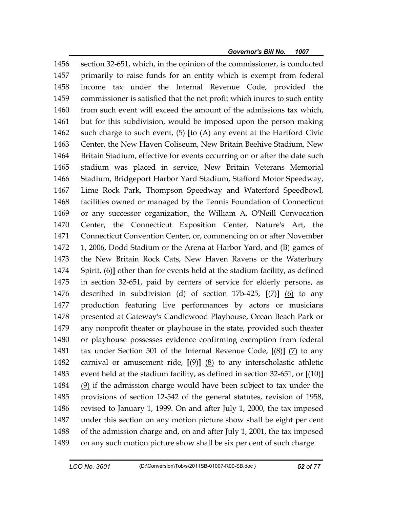1456 section 32-651, which, in the opinion of the commissioner, is conducted 1457 primarily to raise funds for an entity which is exempt from federal 1458 income tax under the Internal Revenue Code, provided the 1459 commissioner is satisfied that the net profit which inures to such entity 1460 from such event will exceed the amount of the admissions tax which, 1461 but for this subdivision, would be imposed upon the person making 1462 such charge to such event, (5) **[**to (A) any event at the Hartford Civic 1463 Center, the New Haven Coliseum, New Britain Beehive Stadium, New 1464 Britain Stadium, effective for events occurring on or after the date such 1465 stadium was placed in service, New Britain Veterans Memorial 1466 Stadium, Bridgeport Harbor Yard Stadium, Stafford Motor Speedway, 1467 Lime Rock Park, Thompson Speedway and Waterford Speedbowl, 1468 facilities owned or managed by the Tennis Foundation of Connecticut 1469 or any successor organization, the William A. O'Neill Convocation 1470 Center, the Connecticut Exposition Center, Nature's Art, the 1471 Connecticut Convention Center, or, commencing on or after November 1472 1, 2006, Dodd Stadium or the Arena at Harbor Yard, and (B) games of 1473 the New Britain Rock Cats, New Haven Ravens or the Waterbury 1474 Spirit, (6)**]** other than for events held at the stadium facility, as defined 1475 in section 32-651, paid by centers of service for elderly persons, as 1476 described in subdivision (d) of section 17b-425, **[**(7)**]** (6) to any 1477 production featuring live performances by actors or musicians 1478 presented at Gateway's Candlewood Playhouse, Ocean Beach Park or 1479 any nonprofit theater or playhouse in the state, provided such theater 1480 or playhouse possesses evidence confirming exemption from federal 1481 tax under Section 501 of the Internal Revenue Code, **[**(8)**]** (7) to any 1482 carnival or amusement ride, **[**(9)**]** (8) to any interscholastic athletic 1483 event held at the stadium facility, as defined in section 32-651, or **[**(10)**]** 1484 (9) if the admission charge would have been subject to tax under the 1485 provisions of section 12-542 of the general statutes, revision of 1958, 1486 revised to January 1, 1999. On and after July 1, 2000, the tax imposed 1487 under this section on any motion picture show shall be eight per cent 1488 of the admission charge and, on and after July 1, 2001, the tax imposed 1489 on any such motion picture show shall be six per cent of such charge.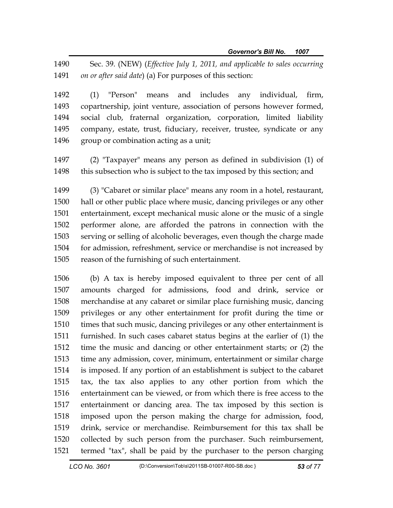1490 Sec. 39. (NEW) (*Effective July 1, 2011, and applicable to sales occurring*  1491 *on or after said date*) (a) For purposes of this section:

1492 (1) "Person" means and includes any individual, firm, 1493 copartnership, joint venture, association of persons however formed, 1494 social club, fraternal organization, corporation, limited liability 1495 company, estate, trust, fiduciary, receiver, trustee, syndicate or any 1496 group or combination acting as a unit;

1497 (2) "Taxpayer" means any person as defined in subdivision (1) of 1498 this subsection who is subject to the tax imposed by this section; and

1499 (3) "Cabaret or similar place" means any room in a hotel, restaurant, 1500 hall or other public place where music, dancing privileges or any other 1501 entertainment, except mechanical music alone or the music of a single 1502 performer alone, are afforded the patrons in connection with the 1503 serving or selling of alcoholic beverages, even though the charge made 1504 for admission, refreshment, service or merchandise is not increased by 1505 reason of the furnishing of such entertainment.

1506 (b) A tax is hereby imposed equivalent to three per cent of all 1507 amounts charged for admissions, food and drink, service or 1508 merchandise at any cabaret or similar place furnishing music, dancing 1509 privileges or any other entertainment for profit during the time or 1510 times that such music, dancing privileges or any other entertainment is 1511 furnished. In such cases cabaret status begins at the earlier of (1) the 1512 time the music and dancing or other entertainment starts; or (2) the 1513 time any admission, cover, minimum, entertainment or similar charge 1514 is imposed. If any portion of an establishment is subject to the cabaret 1515 tax, the tax also applies to any other portion from which the 1516 entertainment can be viewed, or from which there is free access to the 1517 entertainment or dancing area. The tax imposed by this section is 1518 imposed upon the person making the charge for admission, food, 1519 drink, service or merchandise. Reimbursement for this tax shall be 1520 collected by such person from the purchaser. Such reimbursement, 1521 termed "tax", shall be paid by the purchaser to the person charging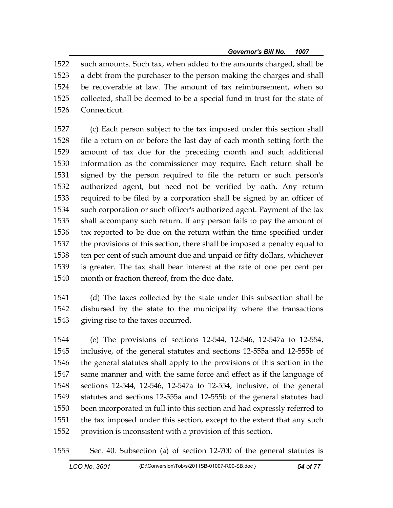1522 such amounts. Such tax, when added to the amounts charged, shall be 1523 a debt from the purchaser to the person making the charges and shall 1524 be recoverable at law. The amount of tax reimbursement, when so 1525 collected, shall be deemed to be a special fund in trust for the state of 1526 Connecticut.

1527 (c) Each person subject to the tax imposed under this section shall 1528 file a return on or before the last day of each month setting forth the 1529 amount of tax due for the preceding month and such additional 1530 information as the commissioner may require. Each return shall be 1531 signed by the person required to file the return or such person's 1532 authorized agent, but need not be verified by oath. Any return 1533 required to be filed by a corporation shall be signed by an officer of 1534 such corporation or such officer's authorized agent. Payment of the tax 1535 shall accompany such return. If any person fails to pay the amount of 1536 tax reported to be due on the return within the time specified under 1537 the provisions of this section, there shall be imposed a penalty equal to 1538 ten per cent of such amount due and unpaid or fifty dollars, whichever 1539 is greater. The tax shall bear interest at the rate of one per cent per 1540 month or fraction thereof, from the due date.

1541 (d) The taxes collected by the state under this subsection shall be 1542 disbursed by the state to the municipality where the transactions 1543 giving rise to the taxes occurred.

1544 (e) The provisions of sections 12-544, 12-546, 12-547a to 12-554, 1545 inclusive, of the general statutes and sections 12-555a and 12-555b of 1546 the general statutes shall apply to the provisions of this section in the 1547 same manner and with the same force and effect as if the language of 1548 sections 12-544, 12-546, 12-547a to 12-554, inclusive, of the general 1549 statutes and sections 12-555a and 12-555b of the general statutes had 1550 been incorporated in full into this section and had expressly referred to 1551 the tax imposed under this section, except to the extent that any such 1552 provision is inconsistent with a provision of this section.

1553 Sec. 40. Subsection (a) of section 12-700 of the general statutes is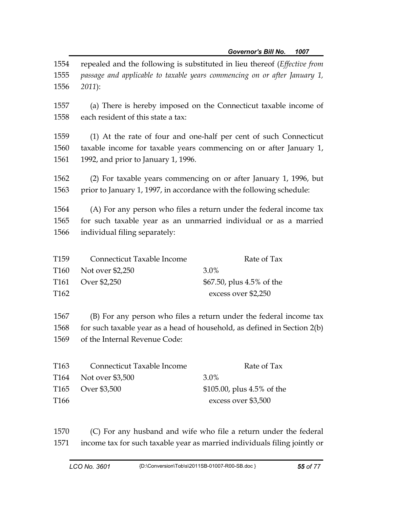|                      |                                                                                                                                                                                | Governor's Bill No.<br>1007 |  |
|----------------------|--------------------------------------------------------------------------------------------------------------------------------------------------------------------------------|-----------------------------|--|
| 1554<br>1555<br>1556 | repealed and the following is substituted in lieu thereof (Effective from<br>passage and applicable to taxable years commencing on or after January 1,<br>$2011$ :             |                             |  |
| 1557<br>1558         | (a) There is hereby imposed on the Connecticut taxable income of<br>each resident of this state a tax:                                                                         |                             |  |
| 1559<br>1560<br>1561 | (1) At the rate of four and one-half per cent of such Connecticut<br>taxable income for taxable years commencing on or after January 1,<br>1992, and prior to January 1, 1996. |                             |  |
| 1562<br>1563         | (2) For taxable years commencing on or after January 1, 1996, but<br>prior to January 1, 1997, in accordance with the following schedule:                                      |                             |  |
| 1564<br>1565<br>1566 | (A) For any person who files a return under the federal income tax<br>for such taxable year as an unmarried individual or as a married<br>individual filing separately:        |                             |  |
| T <sub>159</sub>     | Connecticut Taxable Income                                                                                                                                                     | Rate of Tax                 |  |
| T <sub>160</sub>     | Not over \$2,250                                                                                                                                                               | 3.0%                        |  |
| T <sub>161</sub>     | Over \$2,250                                                                                                                                                                   | \$67.50, plus 4.5% of the   |  |
| T <sub>162</sub>     |                                                                                                                                                                                | excess over \$2,250         |  |
| 1567<br>1568         | (B) For any person who files a return under the federal income tax<br>for such taxable year as a head of household, as defined in Section 2(b)                                 |                             |  |
| 1569                 | of the Internal Revenue Code:                                                                                                                                                  |                             |  |
| T <sub>163</sub>     | Connecticut Taxable Income                                                                                                                                                     | Rate of Tax                 |  |
| T <sub>164</sub>     | Not over \$3,500                                                                                                                                                               | 3.0%                        |  |
| T <sub>165</sub>     | Over \$3,500                                                                                                                                                                   | \$105.00, plus 4.5% of the  |  |
| T <sub>166</sub>     |                                                                                                                                                                                | excess over \$3,500         |  |

1570 (C) For any husband and wife who file a return under the federal 1571 income tax for such taxable year as married individuals filing jointly or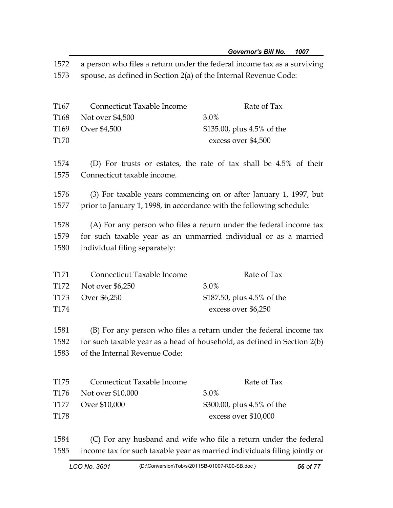1572 a person who files a return under the federal income tax as a surviving 1573 spouse, as defined in Section 2(a) of the Internal Revenue Code:

| Rate of Tax                   |
|-------------------------------|
|                               |
| \$135.00, plus $4.5\%$ of the |
| excess over \$4,500           |
|                               |

1574 (D) For trusts or estates, the rate of tax shall be 4.5% of their 1575 Connecticut taxable income.

1576 (3) For taxable years commencing on or after January 1, 1997, but 1577 prior to January 1, 1998, in accordance with the following schedule:

1578 (A) For any person who files a return under the federal income tax 1579 for such taxable year as an unmarried individual or as a married 1580 individual filing separately:

| T171             | Connecticut Taxable Income | Rate of Tax                   |
|------------------|----------------------------|-------------------------------|
|                  | T172 Not over \$6,250      | $3.0\%$                       |
|                  | T173 Over \$6,250          | \$187.50, plus $4.5\%$ of the |
| T <sub>174</sub> |                            | excess over \$6,250           |

1581 (B) For any person who files a return under the federal income tax 1582 for such taxable year as a head of household, as defined in Section 2(b) 1583 of the Internal Revenue Code:

| T175             | Connecticut Taxable Income | Rate of Tax                |
|------------------|----------------------------|----------------------------|
|                  | T176 Not over \$10,000     | $3.0\%$                    |
|                  | T177 Over \$10,000         | \$300.00, plus 4.5% of the |
| T <sub>178</sub> |                            | excess over \$10,000       |

1584 (C) For any husband and wife who file a return under the federal 1585 income tax for such taxable year as married individuals filing jointly or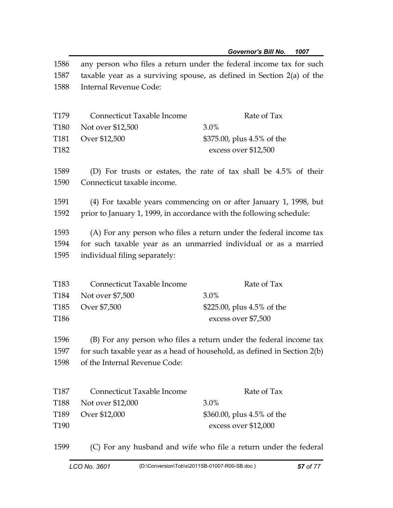| 1586<br>1587<br>1588 | any person who files a return under the federal income tax for such<br>taxable year as a surviving spouse, as defined in Section $2(a)$ of the<br>Internal Revenue Code: |                                                                    |  |
|----------------------|--------------------------------------------------------------------------------------------------------------------------------------------------------------------------|--------------------------------------------------------------------|--|
| T <sub>179</sub>     | Connecticut Taxable Income                                                                                                                                               | Rate of Tax                                                        |  |
| T <sub>180</sub>     | Not over \$12,500                                                                                                                                                        | 3.0%                                                               |  |
| T <sub>181</sub>     | Over \$12,500                                                                                                                                                            | \$375.00, plus 4.5% of the                                         |  |
| T <sub>182</sub>     |                                                                                                                                                                          | excess over \$12,500                                               |  |
| 1589                 |                                                                                                                                                                          | (D) For trusts or estates, the rate of tax shall be 4.5% of their  |  |
| 1590                 | Connecticut taxable income.                                                                                                                                              |                                                                    |  |
| 1591                 |                                                                                                                                                                          | (4) For taxable years commencing on or after January 1, 1998, but  |  |
| 1592                 | prior to January 1, 1999, in accordance with the following schedule:                                                                                                     |                                                                    |  |
| 1593                 |                                                                                                                                                                          | (A) For any person who files a return under the federal income tax |  |
| 1594                 |                                                                                                                                                                          | for such taxable year as an unmarried individual or as a married   |  |
| 1595                 | individual filing separately:                                                                                                                                            |                                                                    |  |
| T <sub>183</sub>     | Connecticut Taxable Income                                                                                                                                               | Rate of Tax                                                        |  |
|                      |                                                                                                                                                                          | 3.0%                                                               |  |
| T184                 | Not over \$7,500                                                                                                                                                         |                                                                    |  |
| T <sub>185</sub>     | Over \$7,500                                                                                                                                                             | \$225.00, plus 4.5% of the                                         |  |
| T <sub>186</sub>     |                                                                                                                                                                          | excess over \$7,500                                                |  |
| 1596                 | (B) For any person who files a return under the federal income tax                                                                                                       |                                                                    |  |
| 1597                 | for such taxable year as a head of household, as defined in Section 2(b)                                                                                                 |                                                                    |  |
| 1598                 | of the Internal Revenue Code:                                                                                                                                            |                                                                    |  |
| T <sub>187</sub>     | Connecticut Taxable Income                                                                                                                                               | Rate of Tax                                                        |  |
|                      |                                                                                                                                                                          |                                                                    |  |
| T <sub>188</sub>     | Not over \$12,000                                                                                                                                                        | 3.0%                                                               |  |
| T <sub>189</sub>     | Over \$12,000                                                                                                                                                            | \$360.00, plus 4.5% of the                                         |  |
| T <sub>190</sub>     |                                                                                                                                                                          | excess over \$12,000                                               |  |
| 1599                 |                                                                                                                                                                          | (C) For any husband and wife who file a return under the federal   |  |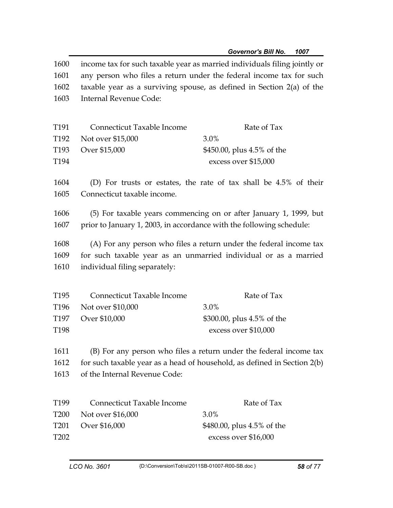| 1600             | income tax for such taxable year as married individuals filing jointly or |                                                                    |  |
|------------------|---------------------------------------------------------------------------|--------------------------------------------------------------------|--|
| 1601             | any person who files a return under the federal income tax for such       |                                                                    |  |
| 1602             | taxable year as a surviving spouse, as defined in Section $2(a)$ of the   |                                                                    |  |
| 1603             | Internal Revenue Code:                                                    |                                                                    |  |
|                  |                                                                           |                                                                    |  |
| T <sub>191</sub> | Connecticut Taxable Income                                                | Rate of Tax                                                        |  |
| T <sub>192</sub> | Not over \$15,000                                                         | 3.0%                                                               |  |
| T <sub>193</sub> | Over \$15,000                                                             | \$450.00, plus 4.5% of the                                         |  |
| T194             |                                                                           | excess over \$15,000                                               |  |
| 1604             |                                                                           | (D) For trusts or estates, the rate of tax shall be 4.5% of their  |  |
| 1605             | Connecticut taxable income.                                               |                                                                    |  |
| 1606             | (5) For taxable years commencing on or after January 1, 1999, but         |                                                                    |  |
| 1607             | prior to January 1, 2003, in accordance with the following schedule:      |                                                                    |  |
| 1608             | (A) For any person who files a return under the federal income tax        |                                                                    |  |
| 1609             | for such taxable year as an unmarried individual or as a married          |                                                                    |  |
| 1610             | individual filing separately:                                             |                                                                    |  |
|                  |                                                                           |                                                                    |  |
| T <sub>195</sub> | Connecticut Taxable Income                                                | Rate of Tax                                                        |  |
| T <sub>196</sub> | Not over \$10,000                                                         | 3.0%                                                               |  |
| T <sub>197</sub> | Over \$10,000                                                             | \$300.00, plus 4.5% of the                                         |  |
| T198             |                                                                           | excess over \$10,000                                               |  |
| 1611             |                                                                           | (B) For any person who files a return under the federal income tax |  |
| 1612             | for such taxable year as a head of household, as defined in Section 2(b)  |                                                                    |  |
| 1613             | of the Internal Revenue Code:                                             |                                                                    |  |
|                  |                                                                           |                                                                    |  |
| T <sub>199</sub> | Connecticut Taxable Income                                                | Rate of Tax                                                        |  |
| T <sub>200</sub> | Not over \$16,000                                                         | 3.0%                                                               |  |
| T <sub>201</sub> | Over \$16,000                                                             | \$480.00, plus 4.5% of the                                         |  |
| T <sub>202</sub> |                                                                           | excess over \$16,000                                               |  |
|                  |                                                                           |                                                                    |  |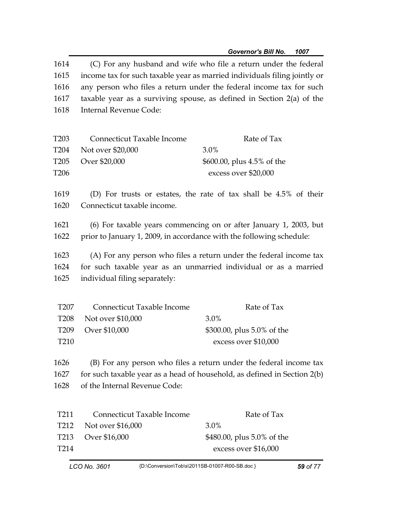| 1614<br>1615<br>1616<br>1617<br>1618                                         | (C) For any husband and wife who file a return under the federal<br>income tax for such taxable year as married individuals filing jointly or<br>any person who files a return under the federal income tax for such<br>taxable year as a surviving spouse, as defined in Section $2(a)$ of the<br>Internal Revenue Code: |                                                                                                                                                |  |
|------------------------------------------------------------------------------|---------------------------------------------------------------------------------------------------------------------------------------------------------------------------------------------------------------------------------------------------------------------------------------------------------------------------|------------------------------------------------------------------------------------------------------------------------------------------------|--|
| T <sub>203</sub><br>T <sub>204</sub><br>T <sub>205</sub><br>T <sub>206</sub> | Connecticut Taxable Income<br>Not over \$20,000<br>Over \$20,000                                                                                                                                                                                                                                                          | Rate of Tax<br>3.0%<br>\$600.00, plus 4.5% of the<br>excess over \$20,000                                                                      |  |
| 1619<br>1620                                                                 | Connecticut taxable income.                                                                                                                                                                                                                                                                                               | (D) For trusts or estates, the rate of tax shall be 4.5% of their                                                                              |  |
| 1621<br>1622                                                                 | (6) For taxable years commencing on or after January 1, 2003, but<br>prior to January 1, 2009, in accordance with the following schedule:                                                                                                                                                                                 |                                                                                                                                                |  |
| 1623<br>1624<br>1625                                                         | individual filing separately:                                                                                                                                                                                                                                                                                             | (A) For any person who files a return under the federal income tax<br>for such taxable year as an unmarried individual or as a married         |  |
| T <sub>207</sub><br><b>T208</b><br>T <sub>209</sub><br>T210                  | <b>Connecticut Taxable Income</b><br>Not over \$10,000<br>Over \$10,000                                                                                                                                                                                                                                                   | Rate of Tax<br>3.0%<br>\$300.00, plus 5.0% of the<br>excess over \$10,000                                                                      |  |
| 1626<br>1627<br>1628                                                         | of the Internal Revenue Code:                                                                                                                                                                                                                                                                                             | (B) For any person who files a return under the federal income tax<br>for such taxable year as a head of household, as defined in Section 2(b) |  |
| T <sub>211</sub><br>T <sub>212</sub><br>T <sub>213</sub><br>T <sub>214</sub> | Connecticut Taxable Income<br>Not over \$16,000<br>Over \$16,000                                                                                                                                                                                                                                                          | Rate of Tax<br>3.0%<br>\$480.00, plus 5.0% of the<br>excess over \$16,000                                                                      |  |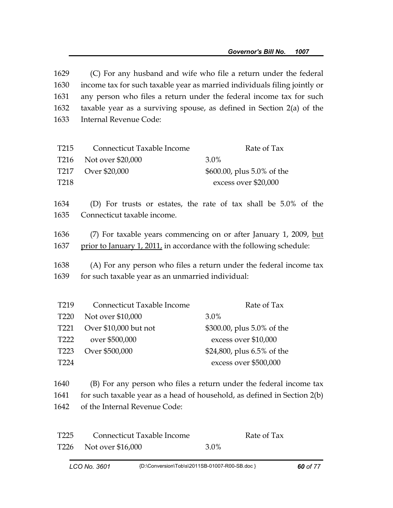| 1629<br>1630<br>1631 | (C) For any husband and wife who file a return under the federal<br>income tax for such taxable year as married individuals filing jointly or<br>any person who files a return under the federal income tax for such |                                                                          |  |
|----------------------|----------------------------------------------------------------------------------------------------------------------------------------------------------------------------------------------------------------------|--------------------------------------------------------------------------|--|
|                      |                                                                                                                                                                                                                      |                                                                          |  |
| 1632                 |                                                                                                                                                                                                                      | taxable year as a surviving spouse, as defined in Section $2(a)$ of the  |  |
| 1633                 | Internal Revenue Code:                                                                                                                                                                                               |                                                                          |  |
|                      |                                                                                                                                                                                                                      |                                                                          |  |
| T <sub>215</sub>     | Connecticut Taxable Income                                                                                                                                                                                           | Rate of Tax                                                              |  |
| T <sub>216</sub>     | Not over \$20,000                                                                                                                                                                                                    | 3.0%                                                                     |  |
| T <sub>217</sub>     | Over \$20,000                                                                                                                                                                                                        | \$600.00, plus 5.0% of the                                               |  |
| T <sub>218</sub>     |                                                                                                                                                                                                                      | excess over \$20,000                                                     |  |
|                      |                                                                                                                                                                                                                      |                                                                          |  |
| 1634                 |                                                                                                                                                                                                                      | (D) For trusts or estates, the rate of tax shall be 5.0% of the          |  |
| 1635                 | Connecticut taxable income.                                                                                                                                                                                          |                                                                          |  |
| 1636                 |                                                                                                                                                                                                                      | (7) For taxable years commencing on or after January 1, 2009, but        |  |
| 1637                 | prior to January 1, 2011, in accordance with the following schedule:                                                                                                                                                 |                                                                          |  |
|                      |                                                                                                                                                                                                                      |                                                                          |  |
| 1638                 | (A) For any person who files a return under the federal income tax                                                                                                                                                   |                                                                          |  |
| 1639                 | for such taxable year as an unmarried individual:                                                                                                                                                                    |                                                                          |  |
|                      |                                                                                                                                                                                                                      |                                                                          |  |
| T <sub>219</sub>     | Connecticut Taxable Income                                                                                                                                                                                           | Rate of Tax                                                              |  |
| T <sub>220</sub>     | Not over \$10,000                                                                                                                                                                                                    | 3.0%                                                                     |  |
| T221                 | Over \$10,000 but not                                                                                                                                                                                                | \$300.00, plus 5.0% of the                                               |  |
| T <sub>222</sub>     | over \$500,000                                                                                                                                                                                                       | excess over \$10,000                                                     |  |
| T <sub>223</sub>     | Over \$500,000                                                                                                                                                                                                       | \$24,800, plus 6.5% of the                                               |  |
| T <sub>224</sub>     |                                                                                                                                                                                                                      | excess over \$500,000                                                    |  |
|                      |                                                                                                                                                                                                                      |                                                                          |  |
| 1640                 |                                                                                                                                                                                                                      | (B) For any person who files a return under the federal income tax       |  |
| 1641                 |                                                                                                                                                                                                                      | for such taxable year as a head of household, as defined in Section 2(b) |  |
| 1642                 | of the Internal Revenue Code:                                                                                                                                                                                        |                                                                          |  |
|                      |                                                                                                                                                                                                                      |                                                                          |  |
| T <sub>225</sub>     | Connecticut Taxable Income                                                                                                                                                                                           | Rate of Tax                                                              |  |
| T <sub>226</sub>     | Not over \$16,000                                                                                                                                                                                                    | 3.0%                                                                     |  |
|                      |                                                                                                                                                                                                                      |                                                                          |  |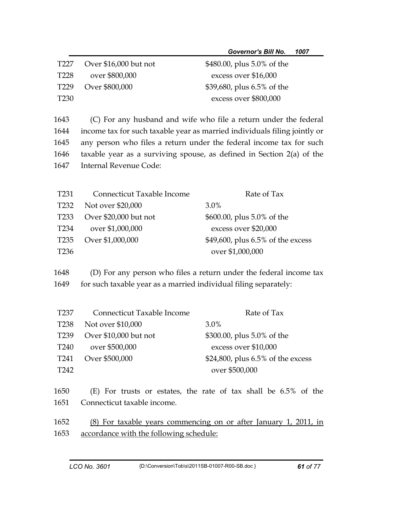|                  |                                                                  | <b>Governor's Bill No.</b><br>1007                                        |  |
|------------------|------------------------------------------------------------------|---------------------------------------------------------------------------|--|
| T <sub>227</sub> | Over \$16,000 but not                                            | \$480.00, plus 5.0% of the                                                |  |
| T <sub>228</sub> | over \$800,000                                                   | excess over \$16,000                                                      |  |
| T <sub>229</sub> | Over \$800,000                                                   | \$39,680, plus 6.5% of the                                                |  |
| T <sub>230</sub> |                                                                  | excess over \$800,000                                                     |  |
|                  |                                                                  |                                                                           |  |
| 1643<br>1644     |                                                                  | (C) For any husband and wife who file a return under the federal          |  |
| 1645             |                                                                  | income tax for such taxable year as married individuals filing jointly or |  |
|                  |                                                                  | any person who files a return under the federal income tax for such       |  |
| 1646             | <b>Internal Revenue Code:</b>                                    | taxable year as a surviving spouse, as defined in Section $2(a)$ of the   |  |
| 1647             |                                                                  |                                                                           |  |
| T <sub>231</sub> | Connecticut Taxable Income                                       | Rate of Tax                                                               |  |
| T <sub>232</sub> | Not over \$20,000                                                | 3.0%                                                                      |  |
| T <sub>233</sub> | Over \$20,000 but not                                            | \$600.00, plus 5.0% of the                                                |  |
| T <sub>234</sub> | over \$1,000,000                                                 | excess over \$20,000                                                      |  |
| T <sub>235</sub> | Over \$1,000,000                                                 | \$49,600, plus 6.5% of the excess                                         |  |
| T <sub>236</sub> |                                                                  | over \$1,000,000                                                          |  |
|                  |                                                                  |                                                                           |  |
| 1648             |                                                                  | (D) For any person who files a return under the federal income tax        |  |
| 1649             | for such taxable year as a married individual filing separately: |                                                                           |  |
|                  |                                                                  |                                                                           |  |
| T <sub>237</sub> | Connecticut Taxable Income                                       | Rate of Tax                                                               |  |
| <b>T238</b>      | Not over \$10,000                                                | 3.0%                                                                      |  |
| T239             | Over \$10,000 but not                                            | \$300.00, plus 5.0% of the                                                |  |
| T <sub>240</sub> | over \$500,000                                                   | excess over \$10,000                                                      |  |
| T <sub>241</sub> | Over \$500,000                                                   | \$24,800, plus 6.5% of the excess                                         |  |
| T242             |                                                                  | over \$500,000                                                            |  |
| 1650             |                                                                  | $(E)$ For trusts or estates, the rate of tax shall be 6.5% of the         |  |
| 1651             | Connecticut taxable income.                                      |                                                                           |  |
| 1652             | (8) For taxable years commencing on or after January 1, 2011, in |                                                                           |  |
| 1653             | accordance with the following schedule:                          |                                                                           |  |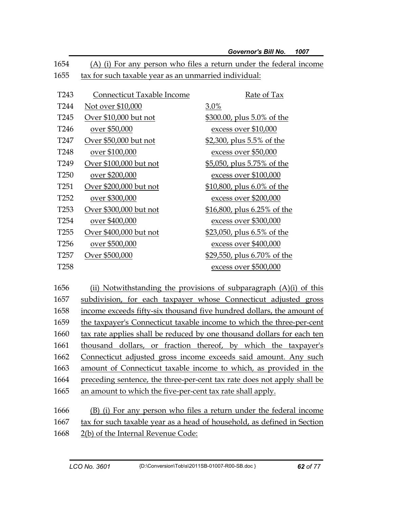|                  |                                                       | <b>Governor's Bill No.</b><br>1007                                 |
|------------------|-------------------------------------------------------|--------------------------------------------------------------------|
| 1654             |                                                       | (A) (i) For any person who files a return under the federal income |
| 1655             | tax for such taxable year as an unmarried individual: |                                                                    |
|                  |                                                       |                                                                    |
| T <sub>243</sub> | Connecticut Taxable Income                            | Rate of Tax                                                        |
| T <sub>244</sub> | Not over \$10,000                                     | 3.0%                                                               |
| T <sub>245</sub> | Over \$10,000 but not                                 | <u>\$300.00, plus 5.0% of the</u>                                  |
| T <sub>246</sub> | over \$50,000                                         | excess over \$10,000                                               |
| T247             | Over \$50,000 but not                                 | <u>\$2,300, plus 5.5% of the</u>                                   |
| T248             | over \$100,000                                        | excess over \$50,000                                               |
| T249             | Over \$100,000 but not                                | <u>\$5,050, plus 5.75% of the</u>                                  |
| T <sub>250</sub> | over \$200,000                                        | excess over \$100,000                                              |
| T <sub>251</sub> | Over \$200,000 but not                                | \$10,800, plus 6.0% of the                                         |
| T <sub>252</sub> | over \$300,000                                        | excess over \$200,000                                              |
| T <sub>253</sub> | Over \$300,000 but not                                | \$16,800, plus 6.25% of the                                        |
| T <sub>254</sub> | over \$400,000                                        | excess over \$300,000                                              |
| T <sub>255</sub> | Over \$400,000 but not                                | <u>\$23,050, plus 6.5% of the</u>                                  |
| T <sub>256</sub> | over \$500,000                                        | excess over \$400,000                                              |
| T <sub>257</sub> | Over \$500,000                                        | <u>\$29,550, plus 6.70% of the</u>                                 |
| T <sub>258</sub> |                                                       | excess over \$500,000                                              |

1656 (ii) Notwithstanding the provisions of subparagraph  $(A)(i)$  of this 1657 subdivision, for each taxpayer whose Connecticut adjusted gross 1658 income exceeds fifty-six thousand five hundred dollars, the amount of 1659 the taxpayer's Connecticut taxable income to which the three-per-cent 1660 tax rate applies shall be reduced by one thousand dollars for each ten 1661 thousand dollars, or fraction thereof, by which the taxpayer's 1662 Connecticut adjusted gross income exceeds said amount. Any such 1663 amount of Connecticut taxable income to which, as provided in the 1664 preceding sentence, the three-per-cent tax rate does not apply shall be 1665 an amount to which the five-per-cent tax rate shall apply. 1666 (B) (i) For any person who files a return under the federal income 1667 tax for such taxable year as a head of household, as defined in Section

1668 2(b) of the Internal Revenue Code: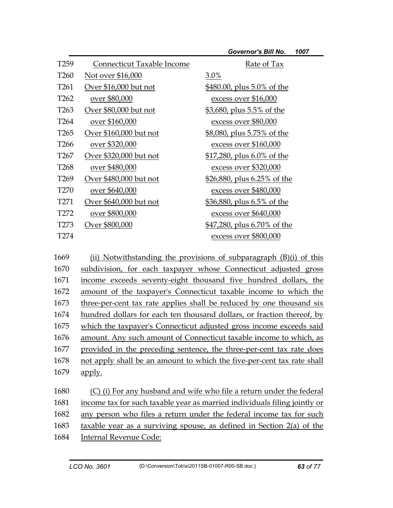| <b>Governor's Bill No.</b> |  | 1007 |
|----------------------------|--|------|
|----------------------------|--|------|

| T <sub>259</sub> | Connecticut Taxable Income | Rate of Tax                       |
|------------------|----------------------------|-----------------------------------|
| T <sub>260</sub> | Not over \$16,000          | 3.0%                              |
| T <sub>261</sub> | Over \$16,000 but not      | \$480.00, plus 5.0% of the        |
| T <sub>262</sub> | over \$80,000              | excess over \$16,000              |
| T <sub>263</sub> | Over \$80,000 but not      | \$3,680, plus 5.5% of the         |
| T <sub>264</sub> | over \$160,000             | excess over \$80,000              |
| T <sub>265</sub> | Over \$160,000 but not     | <u>\$8,080, plus 5.75% of the</u> |
| T <sub>266</sub> | over \$320,000             | excess over \$160,000             |
| T <sub>267</sub> | Over \$320,000 but not     | $$17,280$ , plus 6.0% of the      |
| T <sub>268</sub> | over \$480,000             | excess over \$320,000             |
| T <sub>269</sub> | Over \$480,000 but not     | \$26,880, plus 6.25% of the       |
| T <sub>270</sub> | over \$640,000             | excess over \$480,000             |
| T <sub>271</sub> | Over \$640,000 but not     | \$36,880, plus 6.5% of the        |
| T <sub>272</sub> | over \$800,000             | excess over \$640,000             |
| T <sub>273</sub> | Over \$800,000             | \$47,280, plus 6.70% of the       |
| T274             |                            | excess over \$800,000             |

1669 (ii) Notwithstanding the provisions of subparagraph (B)(i) of this 1670 subdivision, for each taxpayer whose Connecticut adjusted gross 1671 income exceeds seventy-eight thousand five hundred dollars, the 1672 amount of the taxpayer's Connecticut taxable income to which the 1673 three-per-cent tax rate applies shall be reduced by one thousand six 1674 hundred dollars for each ten thousand dollars, or fraction thereof, by 1675 which the taxpayer's Connecticut adjusted gross income exceeds said 1676 amount. Any such amount of Connecticut taxable income to which, as 1677 provided in the preceding sentence, the three-per-cent tax rate does 1678 not apply shall be an amount to which the five-per-cent tax rate shall 1679 apply.

1680 (C) (i) For any husband and wife who file a return under the federal 1681 income tax for such taxable year as married individuals filing jointly or 1682 any person who files a return under the federal income tax for such 1683 taxable year as a surviving spouse, as defined in Section 2(a) of the 1684 Internal Revenue Code: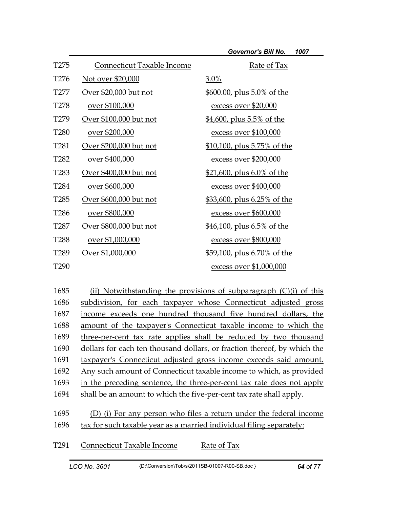| T <sub>275</sub> | Connecticut Taxable Income | Rate of Tax                        |
|------------------|----------------------------|------------------------------------|
| T <sub>276</sub> | Not over \$20,000          | 3.0%                               |
| T277             | Over \$20,000 but not      | \$600.00, plus 5.0% of the         |
| T <sub>278</sub> | over \$100,000             | excess over \$20,000               |
| T <sub>279</sub> | Over \$100,000 but not     | <u>\$4,600, plus 5.5% of the</u>   |
| T <sub>280</sub> | over \$200,000             | excess over \$100,000              |
| T <sub>281</sub> | Over \$200,000 but not     | <u>\$10,100, plus 5.75% of the</u> |
| T <sub>282</sub> | over \$400,000             | excess over \$200,000              |
| T <sub>283</sub> | Over \$400,000 but not     | \$21,600, plus 6.0% of the         |
| T <sub>284</sub> | over \$600,000             | excess over \$400,000              |
| T <sub>285</sub> | Over \$600,000 but not     | \$33,600, plus 6.25% of the        |
| T <sub>286</sub> | over \$800,000             | excess over \$600,000              |
| T <sub>287</sub> | Over \$800,000 but not     | \$46,100, plus 6.5% of the         |
| T <sub>288</sub> | over \$1,000,000           | excess over \$800,000              |
| T <sub>289</sub> | Over \$1,000,000           | <u>\$59,100, plus 6.70% of the</u> |
| T <sub>290</sub> |                            | excess over \$1,000,000            |

1685 (ii) Notwithstanding the provisions of subparagraph (C)(i) of this 1686 subdivision, for each taxpayer whose Connecticut adjusted gross 1687 income exceeds one hundred thousand five hundred dollars, the 1688 amount of the taxpayer's Connecticut taxable income to which the 1689 three-per-cent tax rate applies shall be reduced by two thousand 1690 dollars for each ten thousand dollars, or fraction thereof, by which the 1691 taxpayer's Connecticut adjusted gross income exceeds said amount. 1692 Any such amount of Connecticut taxable income to which, as provided 1693 in the preceding sentence, the three-per-cent tax rate does not apply 1694 shall be an amount to which the five-per-cent tax rate shall apply. 1695 (D) (i) For any person who files a return under the federal income 1696 tax for such taxable year as a married individual filing separately: T291 Connecticut Taxable Income Rate of Tax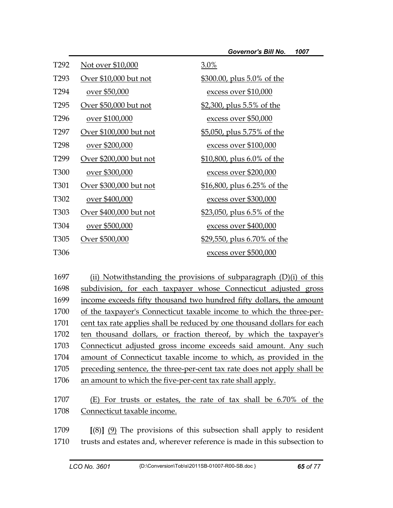| T <sub>292</sub>  | Not over \$10,000      | 3.0%                               |
|-------------------|------------------------|------------------------------------|
| T <sub>293</sub>  | Over \$10,000 but not  | \$300.00, plus 5.0% of the         |
| T <sub>294</sub>  | over \$50,000          | excess over \$10,000               |
| T <sub>295</sub>  | Over \$50,000 but not  | <u>\$2,300, plus 5.5% of the</u>   |
| T <sub>296</sub>  | over \$100,000         | excess over \$50,000               |
| T <sub>297</sub>  | Over \$100,000 but not | <u>\$5,050, plus 5.75% of the</u>  |
| T <sub>298</sub>  | over \$200,000         | excess over \$100,000              |
| T299              | Over \$200,000 but not | <u>\$10,800, plus 6.0% of the</u>  |
| T <sub>300</sub>  | over \$300,000         | excess over \$200,000              |
| T <sub>301</sub>  | Over \$300,000 but not | <u>\$16,800, plus 6.25% of the</u> |
| T <sub>302</sub>  | over \$400,000         | excess over \$300,000              |
| T <sub>30</sub> 3 | Over \$400,000 but not | <u>\$23,050, plus 6.5% of the</u>  |
| T304              | over \$500,000         | excess over \$400,000              |
| T <sub>305</sub>  | Over \$500,000         | \$29,550, plus 6.70% of the        |
| T <sub>306</sub>  |                        | excess over \$500,000              |

1697 (ii) Notwithstanding the provisions of subparagraph  $(D)(i)$  of this 1698 subdivision, for each taxpayer whose Connecticut adjusted gross 1699 income exceeds fifty thousand two hundred fifty dollars, the amount 1700 of the taxpayer's Connecticut taxable income to which the three-per-1701 cent tax rate applies shall be reduced by one thousand dollars for each 1702 ten thousand dollars, or fraction thereof, by which the taxpayer's 1703 Connecticut adjusted gross income exceeds said amount. Any such 1704 amount of Connecticut taxable income to which, as provided in the 1705 preceding sentence, the three-per-cent tax rate does not apply shall be 1706 an amount to which the five-per-cent tax rate shall apply.

1707 (E) For trusts or estates, the rate of tax shall be 6.70% of the 1708 Connecticut taxable income.

1709 **[**(8)**]** (9) The provisions of this subsection shall apply to resident 1710 trusts and estates and, wherever reference is made in this subsection to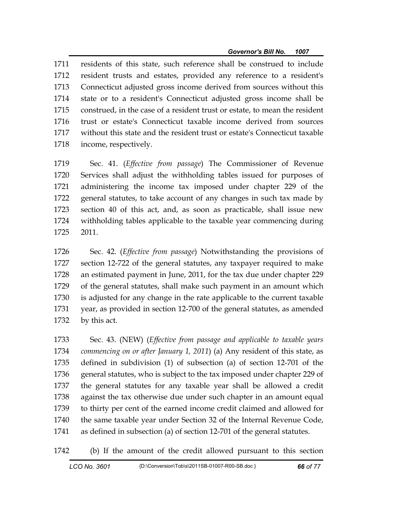1711 residents of this state, such reference shall be construed to include 1712 resident trusts and estates, provided any reference to a resident's 1713 Connecticut adjusted gross income derived from sources without this 1714 state or to a resident's Connecticut adjusted gross income shall be 1715 construed, in the case of a resident trust or estate, to mean the resident 1716 trust or estate's Connecticut taxable income derived from sources 1717 without this state and the resident trust or estate's Connecticut taxable 1718 income, respectively.

1719 Sec. 41. (*Effective from passage*) The Commissioner of Revenue 1720 Services shall adjust the withholding tables issued for purposes of 1721 administering the income tax imposed under chapter 229 of the 1722 general statutes, to take account of any changes in such tax made by 1723 section 40 of this act, and, as soon as practicable, shall issue new 1724 withholding tables applicable to the taxable year commencing during 1725 2011.

1726 Sec. 42. (*Effective from passage*) Notwithstanding the provisions of 1727 section 12-722 of the general statutes, any taxpayer required to make 1728 an estimated payment in June, 2011, for the tax due under chapter 229 1729 of the general statutes, shall make such payment in an amount which 1730 is adjusted for any change in the rate applicable to the current taxable 1731 year, as provided in section 12-700 of the general statutes, as amended 1732 by this act.

1733 Sec. 43. (NEW) (*Effective from passage and applicable to taxable years*  1734 *commencing on or after January 1, 2011*) (a) Any resident of this state, as 1735 defined in subdivision (1) of subsection (a) of section 12-701 of the 1736 general statutes, who is subject to the tax imposed under chapter 229 of 1737 the general statutes for any taxable year shall be allowed a credit 1738 against the tax otherwise due under such chapter in an amount equal 1739 to thirty per cent of the earned income credit claimed and allowed for 1740 the same taxable year under Section 32 of the Internal Revenue Code, 1741 as defined in subsection (a) of section 12-701 of the general statutes.

1742 (b) If the amount of the credit allowed pursuant to this section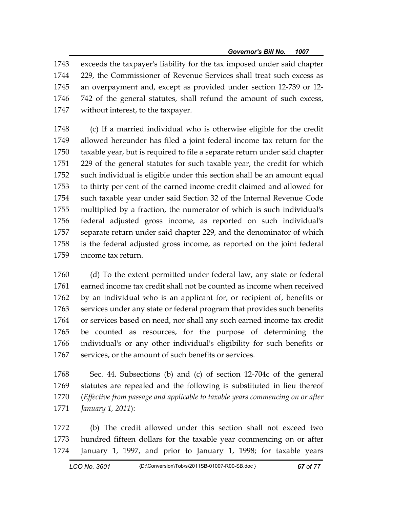1743 exceeds the taxpayer's liability for the tax imposed under said chapter 1744 229, the Commissioner of Revenue Services shall treat such excess as 1745 an overpayment and, except as provided under section 12-739 or 12- 1746 742 of the general statutes, shall refund the amount of such excess, 1747 without interest, to the taxpayer.

1748 (c) If a married individual who is otherwise eligible for the credit 1749 allowed hereunder has filed a joint federal income tax return for the 1750 taxable year, but is required to file a separate return under said chapter 1751 229 of the general statutes for such taxable year, the credit for which 1752 such individual is eligible under this section shall be an amount equal 1753 to thirty per cent of the earned income credit claimed and allowed for 1754 such taxable year under said Section 32 of the Internal Revenue Code 1755 multiplied by a fraction, the numerator of which is such individual's 1756 federal adjusted gross income, as reported on such individual's 1757 separate return under said chapter 229, and the denominator of which 1758 is the federal adjusted gross income, as reported on the joint federal 1759 income tax return.

1760 (d) To the extent permitted under federal law, any state or federal 1761 earned income tax credit shall not be counted as income when received 1762 by an individual who is an applicant for, or recipient of, benefits or 1763 services under any state or federal program that provides such benefits 1764 or services based on need, nor shall any such earned income tax credit 1765 be counted as resources, for the purpose of determining the 1766 individual's or any other individual's eligibility for such benefits or 1767 services, or the amount of such benefits or services.

1768 Sec. 44. Subsections (b) and (c) of section 12-704c of the general 1769 statutes are repealed and the following is substituted in lieu thereof 1770 (*Effective from passage and applicable to taxable years commencing on or after*  1771 *January 1, 2011*):

1772 (b) The credit allowed under this section shall not exceed two 1773 hundred fifteen dollars for the taxable year commencing on or after 1774 January 1, 1997, and prior to January 1, 1998; for taxable years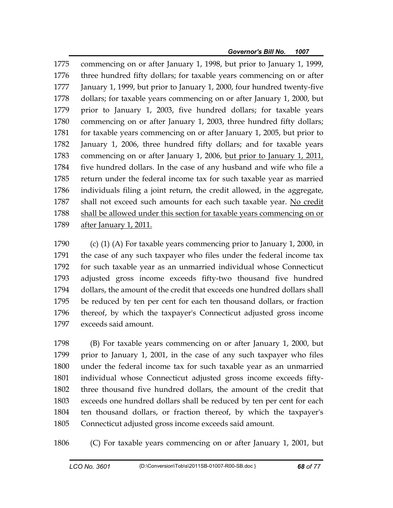1775 commencing on or after January 1, 1998, but prior to January 1, 1999, 1776 three hundred fifty dollars; for taxable years commencing on or after 1777 January 1, 1999, but prior to January 1, 2000, four hundred twenty-five 1778 dollars; for taxable years commencing on or after January 1, 2000, but 1779 prior to January 1, 2003, five hundred dollars; for taxable years 1780 commencing on or after January 1, 2003, three hundred fifty dollars; 1781 for taxable years commencing on or after January 1, 2005, but prior to 1782 January 1, 2006, three hundred fifty dollars; and for taxable years 1783 commencing on or after January 1, 2006, but prior to January 1, 2011, 1784 five hundred dollars. In the case of any husband and wife who file a 1785 return under the federal income tax for such taxable year as married 1786 individuals filing a joint return, the credit allowed, in the aggregate, 1787 shall not exceed such amounts for each such taxable year. No credit 1788 shall be allowed under this section for taxable years commencing on or 1789 after January 1, 2011.

1790 (c) (1) (A) For taxable years commencing prior to January 1, 2000, in 1791 the case of any such taxpayer who files under the federal income tax 1792 for such taxable year as an unmarried individual whose Connecticut 1793 adjusted gross income exceeds fifty-two thousand five hundred 1794 dollars, the amount of the credit that exceeds one hundred dollars shall 1795 be reduced by ten per cent for each ten thousand dollars, or fraction 1796 thereof, by which the taxpayer's Connecticut adjusted gross income 1797 exceeds said amount.

1798 (B) For taxable years commencing on or after January 1, 2000, but 1799 prior to January 1, 2001, in the case of any such taxpayer who files 1800 under the federal income tax for such taxable year as an unmarried 1801 individual whose Connecticut adjusted gross income exceeds fifty-1802 three thousand five hundred dollars, the amount of the credit that 1803 exceeds one hundred dollars shall be reduced by ten per cent for each 1804 ten thousand dollars, or fraction thereof, by which the taxpayer's 1805 Connecticut adjusted gross income exceeds said amount.

1806 (C) For taxable years commencing on or after January 1, 2001, but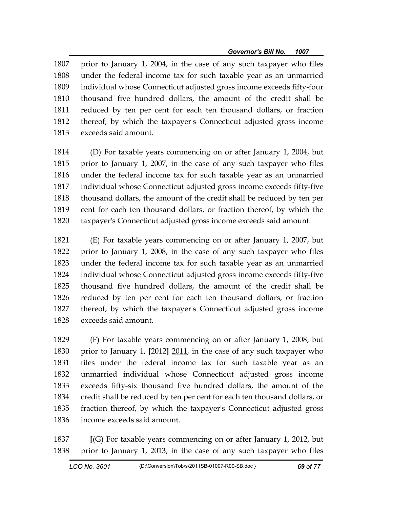1807 prior to January 1, 2004, in the case of any such taxpayer who files 1808 under the federal income tax for such taxable year as an unmarried 1809 individual whose Connecticut adjusted gross income exceeds fifty-four 1810 thousand five hundred dollars, the amount of the credit shall be 1811 reduced by ten per cent for each ten thousand dollars, or fraction 1812 thereof, by which the taxpayer's Connecticut adjusted gross income 1813 exceeds said amount.

1814 (D) For taxable years commencing on or after January 1, 2004, but 1815 prior to January 1, 2007, in the case of any such taxpayer who files 1816 under the federal income tax for such taxable year as an unmarried 1817 individual whose Connecticut adjusted gross income exceeds fifty-five 1818 thousand dollars, the amount of the credit shall be reduced by ten per 1819 cent for each ten thousand dollars, or fraction thereof, by which the 1820 taxpayer's Connecticut adjusted gross income exceeds said amount.

1821 (E) For taxable years commencing on or after January 1, 2007, but 1822 prior to January 1, 2008, in the case of any such taxpayer who files 1823 under the federal income tax for such taxable year as an unmarried 1824 individual whose Connecticut adjusted gross income exceeds fifty-five 1825 thousand five hundred dollars, the amount of the credit shall be 1826 reduced by ten per cent for each ten thousand dollars, or fraction 1827 thereof, by which the taxpayer's Connecticut adjusted gross income 1828 exceeds said amount.

1829 (F) For taxable years commencing on or after January 1, 2008, but 1830 prior to January 1, **[**2012**]** 2011, in the case of any such taxpayer who 1831 files under the federal income tax for such taxable year as an 1832 unmarried individual whose Connecticut adjusted gross income 1833 exceeds fifty-six thousand five hundred dollars, the amount of the 1834 credit shall be reduced by ten per cent for each ten thousand dollars, or 1835 fraction thereof, by which the taxpayer's Connecticut adjusted gross 1836 income exceeds said amount.

1837 **[**(G) For taxable years commencing on or after January 1, 2012, but 1838 prior to January 1, 2013, in the case of any such taxpayer who files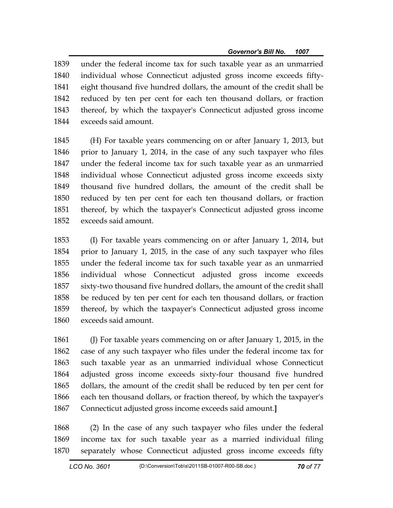1839 under the federal income tax for such taxable year as an unmarried 1840 individual whose Connecticut adjusted gross income exceeds fifty-1841 eight thousand five hundred dollars, the amount of the credit shall be 1842 reduced by ten per cent for each ten thousand dollars, or fraction 1843 thereof, by which the taxpayer's Connecticut adjusted gross income 1844 exceeds said amount.

1845 (H) For taxable years commencing on or after January 1, 2013, but 1846 prior to January 1, 2014, in the case of any such taxpayer who files 1847 under the federal income tax for such taxable year as an unmarried 1848 individual whose Connecticut adjusted gross income exceeds sixty 1849 thousand five hundred dollars, the amount of the credit shall be 1850 reduced by ten per cent for each ten thousand dollars, or fraction 1851 thereof, by which the taxpayer's Connecticut adjusted gross income 1852 exceeds said amount.

1853 (I) For taxable years commencing on or after January 1, 2014, but 1854 prior to January 1, 2015, in the case of any such taxpayer who files 1855 under the federal income tax for such taxable year as an unmarried 1856 individual whose Connecticut adjusted gross income exceeds 1857 sixty-two thousand five hundred dollars, the amount of the credit shall 1858 be reduced by ten per cent for each ten thousand dollars, or fraction 1859 thereof, by which the taxpayer's Connecticut adjusted gross income 1860 exceeds said amount.

1861 (J) For taxable years commencing on or after January 1, 2015, in the 1862 case of any such taxpayer who files under the federal income tax for 1863 such taxable year as an unmarried individual whose Connecticut 1864 adjusted gross income exceeds sixty-four thousand five hundred 1865 dollars, the amount of the credit shall be reduced by ten per cent for 1866 each ten thousand dollars, or fraction thereof, by which the taxpayer's 1867 Connecticut adjusted gross income exceeds said amount.**]**

1868 (2) In the case of any such taxpayer who files under the federal 1869 income tax for such taxable year as a married individual filing 1870 separately whose Connecticut adjusted gross income exceeds fifty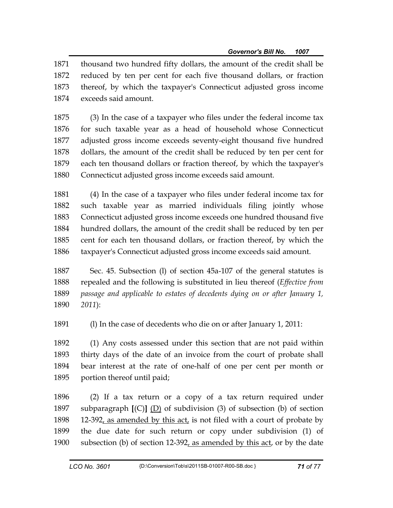1871 thousand two hundred fifty dollars, the amount of the credit shall be 1872 reduced by ten per cent for each five thousand dollars, or fraction 1873 thereof, by which the taxpayer's Connecticut adjusted gross income 1874 exceeds said amount.

1875 (3) In the case of a taxpayer who files under the federal income tax 1876 for such taxable year as a head of household whose Connecticut 1877 adjusted gross income exceeds seventy-eight thousand five hundred 1878 dollars, the amount of the credit shall be reduced by ten per cent for 1879 each ten thousand dollars or fraction thereof, by which the taxpayer's 1880 Connecticut adjusted gross income exceeds said amount.

1881 (4) In the case of a taxpayer who files under federal income tax for 1882 such taxable year as married individuals filing jointly whose 1883 Connecticut adjusted gross income exceeds one hundred thousand five 1884 hundred dollars, the amount of the credit shall be reduced by ten per 1885 cent for each ten thousand dollars, or fraction thereof, by which the 1886 taxpayer's Connecticut adjusted gross income exceeds said amount.

1887 Sec. 45. Subsection (l) of section 45a-107 of the general statutes is 1888 repealed and the following is substituted in lieu thereof (*Effective from*  1889 *passage and applicable to estates of decedents dying on or after January 1,*  1890 *2011*):

1891 (l) In the case of decedents who die on or after January 1, 2011:

1892 (1) Any costs assessed under this section that are not paid within 1893 thirty days of the date of an invoice from the court of probate shall 1894 bear interest at the rate of one-half of one per cent per month or 1895 portion thereof until paid;

1896 (2) If a tax return or a copy of a tax return required under 1897 subparagraph **[**(C)**]** (D) of subdivision (3) of subsection (b) of section 1898 12-392, as amended by this act, is not filed with a court of probate by 1899 the due date for such return or copy under subdivision (1) of 1900 subsection (b) of section 12-392, as amended by this act, or by the date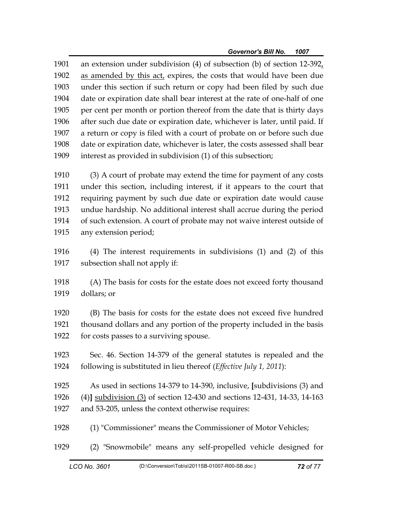1901 an extension under subdivision (4) of subsection (b) of section 12-392, 1902 as amended by this act, expires, the costs that would have been due 1903 under this section if such return or copy had been filed by such due 1904 date or expiration date shall bear interest at the rate of one-half of one 1905 per cent per month or portion thereof from the date that is thirty days 1906 after such due date or expiration date, whichever is later, until paid. If 1907 a return or copy is filed with a court of probate on or before such due 1908 date or expiration date, whichever is later, the costs assessed shall bear 1909 interest as provided in subdivision (1) of this subsection;

1910 (3) A court of probate may extend the time for payment of any costs 1911 under this section, including interest, if it appears to the court that 1912 requiring payment by such due date or expiration date would cause 1913 undue hardship. No additional interest shall accrue during the period 1914 of such extension. A court of probate may not waive interest outside of 1915 any extension period;

1916 (4) The interest requirements in subdivisions (1) and (2) of this 1917 subsection shall not apply if:

1918 (A) The basis for costs for the estate does not exceed forty thousand 1919 dollars; or

1920 (B) The basis for costs for the estate does not exceed five hundred 1921 thousand dollars and any portion of the property included in the basis 1922 for costs passes to a surviving spouse.

1923 Sec. 46. Section 14-379 of the general statutes is repealed and the 1924 following is substituted in lieu thereof (*Effective July 1, 2011*):

1925 As used in sections 14-379 to 14-390, inclusive, **[**subdivisions (3) and 1926 (4)**]** subdivision (3) of section 12-430 and sections 12-431, 14-33, 14-163 1927 and 53-205, unless the context otherwise requires:

1928 (1) "Commissioner" means the Commissioner of Motor Vehicles;

1929 (2) "Snowmobile" means any self-propelled vehicle designed for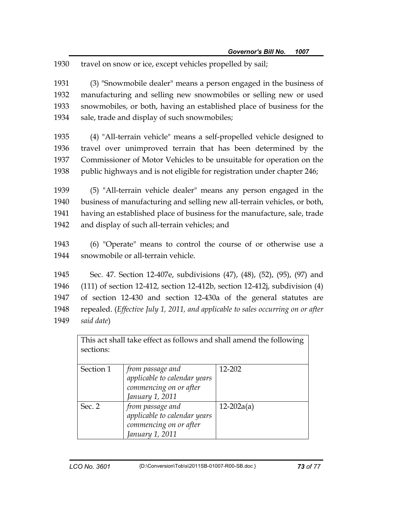1930 travel on snow or ice, except vehicles propelled by sail;

1931 (3) "Snowmobile dealer" means a person engaged in the business of 1932 manufacturing and selling new snowmobiles or selling new or used 1933 snowmobiles, or both, having an established place of business for the 1934 sale, trade and display of such snowmobiles;

1935 (4) "All-terrain vehicle" means a self-propelled vehicle designed to 1936 travel over unimproved terrain that has been determined by the 1937 Commissioner of Motor Vehicles to be unsuitable for operation on the 1938 public highways and is not eligible for registration under chapter 246;

1939 (5) "All-terrain vehicle dealer" means any person engaged in the 1940 business of manufacturing and selling new all-terrain vehicles, or both, 1941 having an established place of business for the manufacture, sale, trade 1942 and display of such all-terrain vehicles; and

1943 (6) "Operate" means to control the course of or otherwise use a 1944 snowmobile or all-terrain vehicle.

1945 Sec. 47. Section 12-407e, subdivisions (47), (48), (52), (95), (97) and

1946 (111) of section 12-412, section 12-412b, section 12-412j, subdivision (4)

1947 of section 12-430 and section 12-430a of the general statutes are

1948 repealed. (*Effective July 1, 2011, and applicable to sales occurring on or after* 

1949 *said date*)

This act shall take effect as follows and shall amend the following sections: Section 1 *from passage and applicable to calendar years commencing on or after January 1, 2011*  12-202 Sec. 2 *from passage and applicable to calendar years commencing on or after January 1, 2011*  12-202a(a)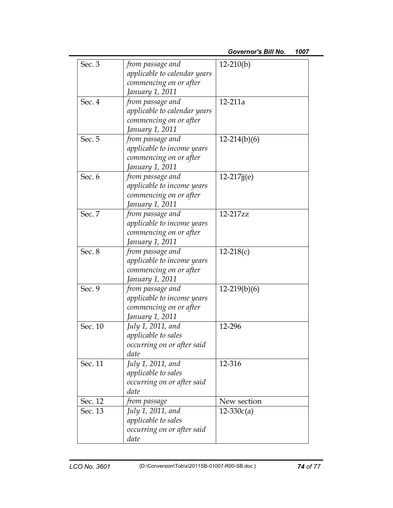| Sec. 3  | from passage and<br>applicable to calendar years | $12-210(b)$    |  |
|---------|--------------------------------------------------|----------------|--|
|         | commencing on or after                           |                |  |
|         | January 1, 2011                                  |                |  |
| Sec. 4  | from passage and                                 | $12 - 211a$    |  |
|         | applicable to calendar years                     |                |  |
|         | commencing on or after                           |                |  |
|         | January 1, 2011                                  |                |  |
| Sec. 5  | from passage and                                 | $12-214(b)(6)$ |  |
|         | applicable to income years                       |                |  |
|         | commencing on or after                           |                |  |
|         | January 1, 2011                                  |                |  |
| Sec. 6  | from passage and                                 | $12-217j(e)$   |  |
|         | applicable to income years                       |                |  |
|         | commencing on or after                           |                |  |
|         | January 1, 2011                                  |                |  |
| Sec. 7  | from passage and                                 | 12-217zz       |  |
|         | applicable to income years                       |                |  |
|         | commencing on or after                           |                |  |
|         | January 1, 2011                                  |                |  |
| Sec. 8  | from passage and                                 | $12 - 218(c)$  |  |
|         | applicable to income years                       |                |  |
|         | commencing on or after                           |                |  |
|         | January 1, 2011                                  |                |  |
| Sec. 9  | from passage and                                 | $12-219(b)(6)$ |  |
|         | applicable to income years                       |                |  |
|         | commencing on or after                           |                |  |
|         | January 1, 2011                                  |                |  |
| Sec. 10 | July 1, 2011, and                                | 12-296         |  |
|         | applicable to sales                              |                |  |
|         | occurring on or after said                       |                |  |
|         | date                                             |                |  |
| Sec. 11 | July 1, 2011, and                                | 12-316         |  |
|         | applicable to sales                              |                |  |
|         | occurring on or after said                       |                |  |
|         | date                                             |                |  |
| Sec. 12 | from passage                                     | New section    |  |
| Sec. 13 | July 1, 2011, and                                | $12 - 330c(a)$ |  |
|         | applicable to sales                              |                |  |
|         | occurring on or after said                       |                |  |
|         | date                                             |                |  |
|         |                                                  |                |  |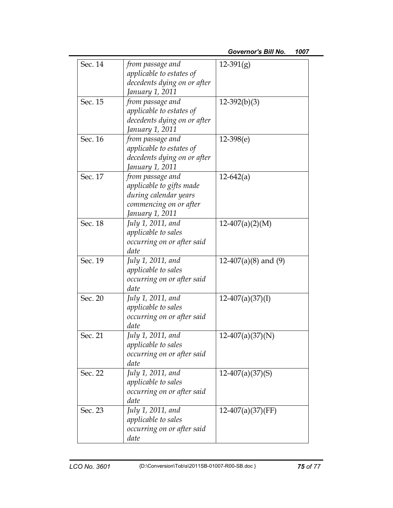| Sec. 14 | from passage and<br>applicable to estates of<br>decedents dying on or after<br>January 1, 2011                     | $12-391(g)$            |  |
|---------|--------------------------------------------------------------------------------------------------------------------|------------------------|--|
| Sec. 15 | from passage and<br>applicable to estates of<br>decedents dying on or after<br>January 1, 2011                     | $12-392(b)(3)$         |  |
| Sec. 16 | from passage and<br>applicable to estates of<br>decedents dying on or after<br>January 1, 2011                     | $12-398(e)$            |  |
| Sec. 17 | from passage and<br>applicable to gifts made<br>during calendar years<br>commencing on or after<br>January 1, 2011 | $12-642(a)$            |  |
| Sec. 18 | July 1, 2011, and<br>applicable to sales<br>occurring on or after said<br>date                                     | $12-407(a)(2)(M)$      |  |
| Sec. 19 | July 1, 2011, and<br>applicable to sales<br>occurring on or after said<br>date                                     | $12-407(a)(8)$ and (9) |  |
| Sec. 20 | July 1, 2011, and<br>applicable to sales<br>occurring on or after said<br>date                                     | $12-407(a)(37)(I)$     |  |
| Sec. 21 | July 1, 2011, and<br><i>applicable to sales</i><br>occurring on or after said<br>date                              | $12-407(a)(37)(N)$     |  |
| Sec. 22 | July 1, 2011, and<br>applicable to sales<br>occurring on or after said<br>date                                     | $12-407(a)(37)(S)$     |  |
| Sec. 23 | July 1, 2011, and<br>applicable to sales<br>occurring on or after said<br>date                                     | $12-407(a)(37)$ (FF)   |  |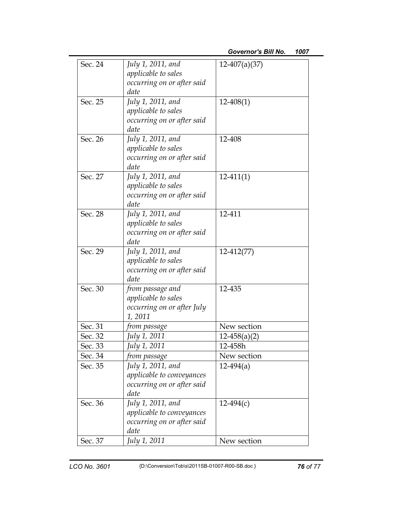| Sec. 24 | July 1, 2011, and<br>applicable to sales<br>occurring on or after said<br>date       | $12-407(a)(37)$  |  |
|---------|--------------------------------------------------------------------------------------|------------------|--|
| Sec. 25 | July 1, 2011, and<br>applicable to sales<br>occurring on or after said<br>date       | $12 - 408(1)$    |  |
| Sec. 26 | July 1, 2011, and<br>applicable to sales<br>occurring on or after said<br>date       | 12-408           |  |
| Sec. 27 | July 1, 2011, and<br>applicable to sales<br>occurring on or after said<br>date       | $12-411(1)$      |  |
| Sec. 28 | July 1, 2011, and<br>applicable to sales<br>occurring on or after said<br>date       | 12-411           |  |
| Sec. 29 | July 1, 2011, and<br>applicable to sales<br>occurring on or after said<br>date       | $12-412(77)$     |  |
| Sec. 30 | from passage and<br>applicable to sales<br>occurring on or after July<br>1,2011      | 12-435           |  |
| Sec. 31 | from passage                                                                         | New section      |  |
| Sec. 32 | July 1, 2011                                                                         | $12 - 458(a)(2)$ |  |
| Sec. 33 | July 1, 2011                                                                         | 12-458h          |  |
| Sec. 34 | from passage                                                                         | New section      |  |
| Sec. 35 | July 1, 2011, and<br>applicable to conveyances<br>occurring on or after said<br>date | $12-494(a)$      |  |
| Sec. 36 | July 1, 2011, and<br>applicable to conveyances<br>occurring on or after said<br>date | $12-494(c)$      |  |
| Sec. 37 | July 1, 2011                                                                         | New section      |  |